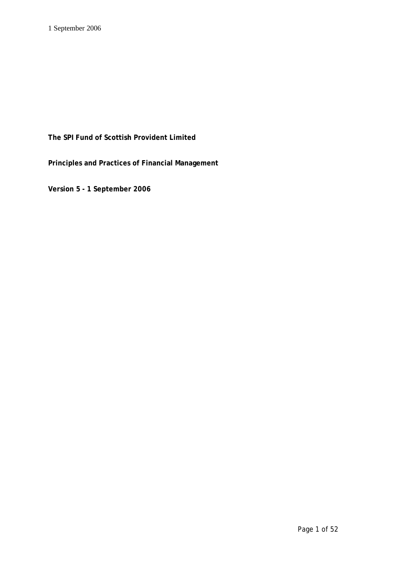# **The SPI Fund of Scottish Provident Limited**

**Principles and Practices of Financial Management**

**Version 5 - 1 September 2006**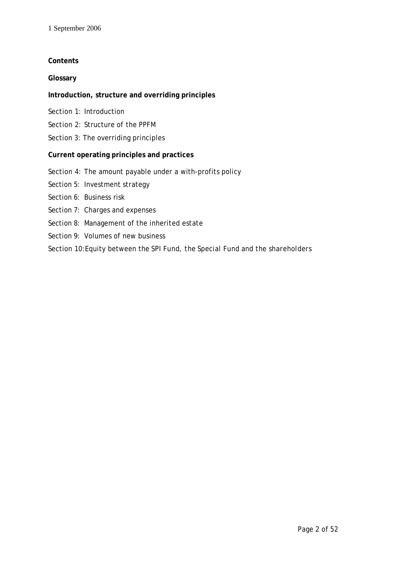## **Contents**

## **Glossary**

## **Introduction, structure and overriding principles**

- Section 1: Introduction
- Section 2: Structure of the *PPFM*
- Section 3: The overriding principles

## **Current operating principles and practices**

- Section 4: The amount payable under a with-profits policy
- Section 5: Investment strategy
- Section 6: Business risk
- Section 7: Charges and expenses
- Section 8: Management of the inherited estate
- Section 9: Volumes of new business
- Section 10:Equity between the *SPI Fund*, the *Special Fund* and the *shareholders*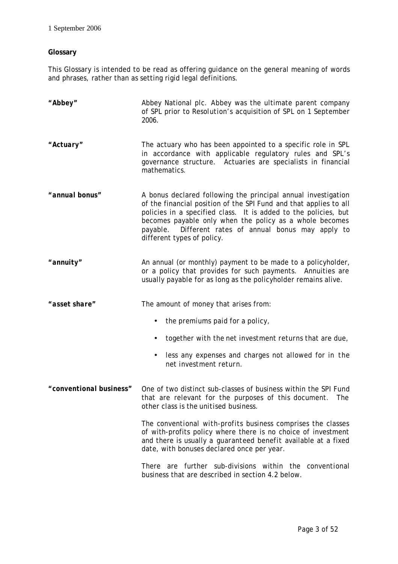## **Glossary**

This Glossary is intended to be read as offering guidance on the general meaning of words and phrases, rather than as setting rigid legal definitions.

| "Abbey"                 | Abbey National plc. Abbey was the ultimate parent company<br>of SPL prior to Resolution's acquisition of SPL on 1 September<br>2006.                                                                                                                                                                                                                    |  |
|-------------------------|---------------------------------------------------------------------------------------------------------------------------------------------------------------------------------------------------------------------------------------------------------------------------------------------------------------------------------------------------------|--|
| "Actuary"               | The actuary who has been appointed to a specific role in SPL<br>in accordance with applicable regulatory rules and SPL's<br>governance structure. Actuaries are specialists in financial<br>mathematics.                                                                                                                                                |  |
| "annual bonus"          | A bonus declared following the principal annual investigation<br>of the financial position of the SPI Fund and that applies to all<br>policies in a specified class. It is added to the policies, but<br>becomes payable only when the policy as a whole becomes<br>payable. Different rates of annual bonus may apply to<br>different types of policy. |  |
| "annuity"               | An annual (or monthly) payment to be made to a policyholder,<br>or a policy that provides for such payments. Annuities are<br>usually payable for as long as the policyholder remains alive.                                                                                                                                                            |  |
| "asset share"           | The amount of money that arises from:                                                                                                                                                                                                                                                                                                                   |  |
|                         | the <i>premiums</i> paid for a policy,                                                                                                                                                                                                                                                                                                                  |  |
|                         | together with the net investment returns that are due,                                                                                                                                                                                                                                                                                                  |  |
|                         | less any expenses and charges not allowed for in the<br>net investment return.                                                                                                                                                                                                                                                                          |  |
| "conventional business" | One of two distinct sub-classes of business within the SPI Fund<br>that are relevant for the purposes of this document. The<br>other class is the unitised business.                                                                                                                                                                                    |  |
|                         | The conventional with-profits business comprises the classes<br>of with-profits policy where there is no choice of investment<br>and there is usually a guaranteed benefit available at a fixed<br>date, with bonuses declared once per year.                                                                                                           |  |
|                         | There are further sub-divisions within the conventional<br>business that are described in section 4.2 below.                                                                                                                                                                                                                                            |  |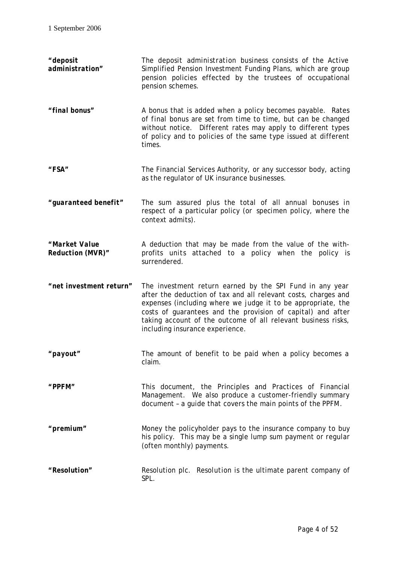*"deposit administration"* The *deposit administration business* consists of the Active Simplified Pension Investment Funding Plans, which are group pension policies effected by the trustees of occupational pension schemes. *"final bonus"* A bonus that is added when a policy becomes payable. Rates of *final bonus* are set from time to time, but can be changed without notice. Different rates may apply to different types of policy and to policies of the same type issued at different times. *"FSA"* The Financial Services Authority, or any successor body, acting as the regulator of UK insurance businesses. *"guaranteed benefit"* The *sum assured* plus the total of all *annual bonuses* in respect of a particular policy (or *specimen policy*, where the context admits). *"Market Value Reduction (MVR)"* A deduction that may be made from the value of the withprofits *units* attached to a policy when the policy is surrendered. *"net investment return"* The investment return earned by the *SPI Fund* in any year after the deduction of tax and all relevant costs, charges and expenses (including where we judge it to be appropriate, the costs of guarantees and the provision of capital) and after taking account of the outcome of all relevant business risks, including insurance experience. *"payout"* The amount of benefit to be paid when a policy becomes a claim. *"PPFM"* This document, the Principles and Practices of Financial Management. We also produce a customer-friendly summary document – a guide that covers the main points of the *PPFM*. *"premium"* Money the policyholder pays to the insurance company to buy his policy. This may be a single lump sum payment or regular (often monthly) payments. *"Resolution"* Resolution plc. *Resolution* is the ultimate parent company of *SPL*.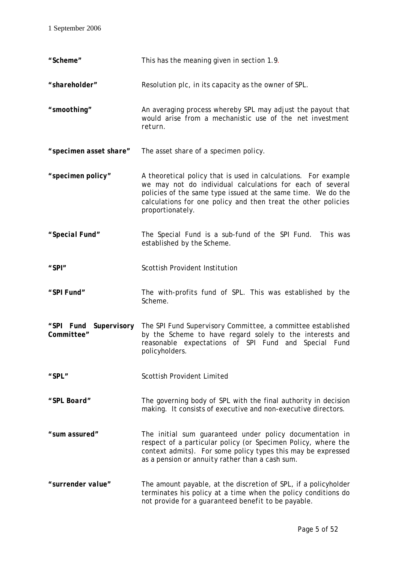| "Scheme"               | This has the meaning given in section 1.9.                                                                                                                                                                                                                                       |
|------------------------|----------------------------------------------------------------------------------------------------------------------------------------------------------------------------------------------------------------------------------------------------------------------------------|
| "shareholder"          | Resolution plc, in its capacity as the owner of SPL.                                                                                                                                                                                                                             |
| "smoothing"            | An averaging process whereby SPL may adjust the payout that<br>would arise from a mechanistic use of the net investment<br>return.                                                                                                                                               |
| "specimen asset share" | The asset share of a specimen policy.                                                                                                                                                                                                                                            |
| "specimen policy"      | A theoretical policy that is used in calculations. For example<br>we may not do individual calculations for each of several<br>policies of the same type issued at the same time. We do the<br>calculations for one policy and then treat the other policies<br>proportionately. |
| "Special Fund"         | The Special Fund is a sub-fund of the SPI Fund. This was<br>established by the Scheme.                                                                                                                                                                                           |
| "SPI"                  | Scottish Provident Institution                                                                                                                                                                                                                                                   |
| "SPI Fund"             | The with-profits fund of SPL. This was established by the<br>Scheme.                                                                                                                                                                                                             |
| Committee"             | "SPI Fund Supervisory The SPI Fund Supervisory Committee, a committee established<br>by the Scheme to have regard solely to the interests and<br>reasonable expectations of SPI Fund and Special Fund<br>policyholders.                                                          |
| "SPL"                  | Scottish Provident Limited                                                                                                                                                                                                                                                       |
| "SPL Board"            | The governing body of SPL with the final authority in decision<br>making. It consists of executive and non-executive directors.                                                                                                                                                  |
| "sum assured"          | The initial sum guaranteed under policy documentation in<br>respect of a particular policy (or Specimen Policy, where the<br>context admits). For some policy types this may be expressed<br>as a pension or annuity rather than a cash sum.                                     |
| "surrender value"      | The amount payable, at the discretion of SPL, if a policyholder<br>terminates his policy at a time when the policy conditions do<br>not provide for a <i>guaranteed benefit</i> to be payable.                                                                                   |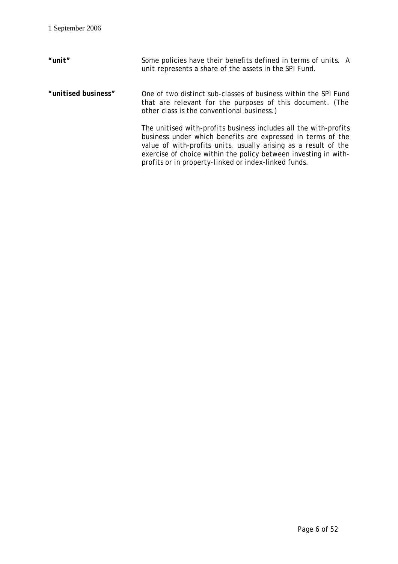| $"$ unit"           | Some policies have their benefits defined in terms of units. A<br>unit represents a share of the assets in the SPI Fund.                                                                                                                                                                                                      |
|---------------------|-------------------------------------------------------------------------------------------------------------------------------------------------------------------------------------------------------------------------------------------------------------------------------------------------------------------------------|
| "unitised business" | One of two distinct sub-classes of business within the SPI Fund<br>that are relevant for the purposes of this document. (The<br>other class is the conventional business.)                                                                                                                                                    |
|                     | The unitised with-profits business includes all the with-profits<br>business under which benefits are expressed in terms of the<br>value of with-profits units, usually arising as a result of the<br>exercise of choice within the policy between investing in with-<br>profits or in property-linked or index-linked funds. |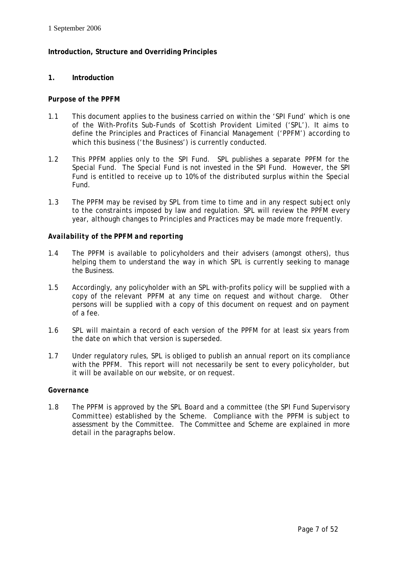## **Introduction, Structure and Overriding Principles**

## **1. Introduction**

#### *Purpose of the PPFM*

- 1.1 This document applies to the business carried on within the *'SPI Fund'* which is one of the With-Profits Sub-Funds of Scottish Provident Limited ('*SPL'*). It aims to define the Principles and Practices of Financial Management *('PPFM'*) according to which this business ('the Business') is currently conducted.
- 1.2 This *PPFM* applies only to the *SPI Fund*. *SPL* publishes a separate *PPFM* for the *Special Fund*. The *Special Fund* is not invested in the *SPI Fund*. However, the *SPI Fund* is entitled to receive up to 10% of the distributed surplus within the *Special Fund*.
- 1.3 The *PPFM* may be revised by *SPL* from time to time and in any respect subject only to the constraints imposed by law and regulation. *SPL* will review the *PPFM* every year, although changes to Principles and Practices may be made more frequently.

#### *Availability of the PPFM and reporting*

- 1.4 The *PPFM* is available to policyholders and their advisers (amongst others), thus helping them to understand the way in which *SPL* is currently seeking to manage the Business.
- 1.5 Accordingly, any policyholder with an *SPL* with-profits policy will be supplied with a copy of the relevant *PPFM* at any time on request and without charge. Other persons will be supplied with a copy of this document on request and on payment of a fee.
- 1.6 *SPL* will maintain a record of each version of the *PPFM* for at least six years from the date on which that version is superseded.
- 1.7 Under regulatory rules, *SPL* is obliged to publish an annual report on its compliance with the *PPFM*. This report will not necessarily be sent to every policyholder, but it will be available on our website, or on request.

#### *Governance*

1.8 The *PPFM* is approved by the *SPL Board* and a committee (the *SPI Fund Supervisory Committee*) established by the *Scheme*. Compliance with the *PPFM* is subject to assessment by the Committee. The Committee and *Scheme* are explained in more detail in the paragraphs below.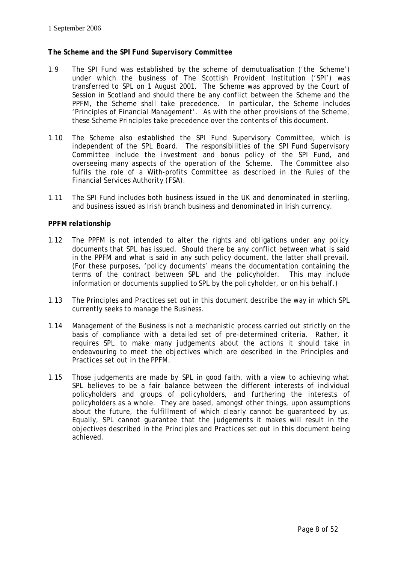## *The Scheme and the SPI Fund Supervisory Committee*

- 1.9 The *SPI Fund* was established by the scheme of demutualisation ('the *Scheme*') under which the business of The Scottish Provident Institution ('*SPI*') was transferred to *SPL* on 1 August 2001. The *Scheme* was approved by the Court of Session in Scotland and should there be any conflict between the *Scheme* and the *PPFM*, the *Scheme* shall take precedence. In particular, the *Scheme* includes 'Principles of Financial Management'. As with the other provisions of the *Scheme*, these *Scheme* Principles take precedence over the contents of this document.
- 1.10 The *Scheme* also established the *SPI Fund Supervisory Committee*, which is independent of the *SPL Board.* The responsibilities of the *SPI Fund Supervisory Committee* include the investment and bonus policy of the *SPI Fund*, and overseeing many aspects of the operation of the *Scheme*. The Committee also fulfils the role of a With-profits Committee as described in the Rules of the Financial Services Authority (*FSA*).
- 1.11 The *SPI Fund* includes both business issued in the UK and denominated in sterling, and business issued as Irish branch business and denominated in Irish currency.

## *PPFM relationship*

- 1.12 The *PPFM* is not intended to alter the rights and obligations under any policy documents that *SPL* has issued. Should there be any conflict between what is said in the *PPFM* and what is said in any such policy document, the latter shall prevail. (For these purposes, 'policy documents' means the documentation containing the terms of the contract between *SPL* and the policyholder. This may include information or documents supplied to *SPL* by the policyholder, or on his behalf.)
- 1.13 The Principles and Practices set out in this document describe the way in which *SPL* currently seeks to manage the Business.
- 1.14 Management of the Business is not a mechanistic process carried out strictly on the basis of compliance with a detailed set of pre-determined criteria. Rather, it requires *SPL* to make many judgements about the actions it should take in endeavouring to meet the objectives which are described in the Principles and Practices set out in the *PPFM*.
- 1.15 Those judgements are made by *SPL* in good faith, with a view to achieving what *SPL* believes to be a fair balance between the different interests of individual policyholders and groups of policyholders, and furthering the interests of policyholders as a whole. They are based, amongst other things, upon assumptions about the future, the fulfillment of which clearly cannot be guaranteed by us. Equally, *SPL* cannot guarantee that the judgements it makes will result in the objectives described in the Principles and Practices set out in this document being achieved.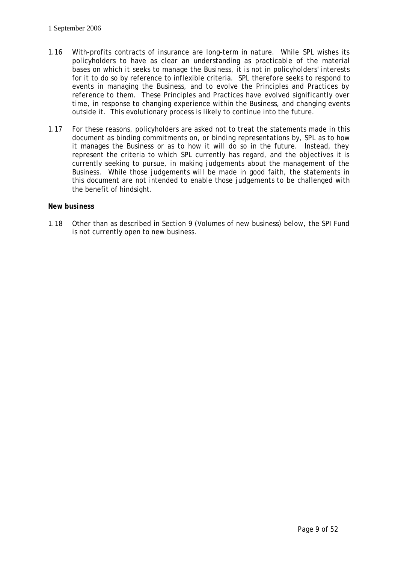- 1.16 With-profits contracts of insurance are long-term in nature. While *SPL* wishes its policyholders to have as clear an understanding as practicable of the material bases on which it seeks to manage the Business, it is not in policyholders' interests for it to do so by reference to inflexible criteria. *SPL* therefore seeks to respond to events in managing the Business, and to evolve the Principles and Practices by reference to them. These Principles and Practices have evolved significantly over time, in response to changing experience within the Business, and changing events outside it. This evolutionary process is likely to continue into the future.
- 1.17 For these reasons, policyholders are asked not to treat the statements made in this document as binding commitments on, or binding representations by, *SPL* as to how it manages the Business or as to how it will do so in the future. Instead, they represent the criteria to which *SPL* currently has regard, and the objectives it is currently seeking to pursue, in making judgements about the management of the Business. While those judgements will be made in good faith, the statements in this document are not intended to enable those judgements to be challenged with the benefit of hindsight.

## *New business*

1.18 Other than as described in Section 9 (Volumes of new business) below, the *SPI Fund* is not currently open to new business.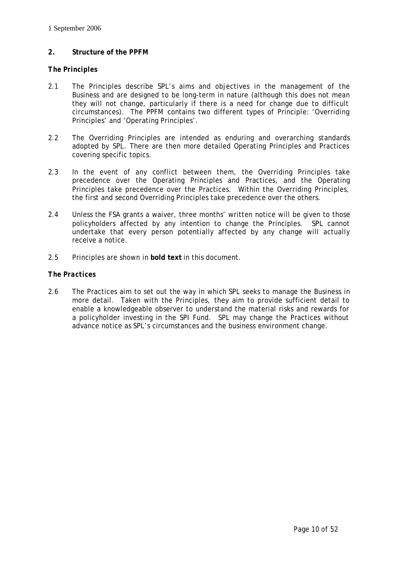## **2. Structure of the** *PPFM*

## *The Principles*

- 2.1 The Principles describe *SPL*'s aims and objectives in the management of the Business and are designed to be long-term in nature (although this does not mean they will not change, particularly if there is a need for change due to difficult circumstances). The *PPFM* contains two different types of Principle: 'Overriding Principles' and 'Operating Principles'.
- 2.2 The Overriding Principles are intended as enduring and overarching standards adopted by *SPL*. There are then more detailed Operating Principles and Practices covering specific topics.
- 2.3 In the event of any conflict between them, the Overriding Principles take precedence over the Operating Principles and Practices, and the Operating Principles take precedence over the Practices. Within the Overriding Principles, the first and second Overriding Principles take precedence over the others.
- 2.4 Unless the *FSA* grants a waiver, three months' written notice will be given to those policyholders affected by any intention to change the Principles. *SPL* cannot undertake that every person potentially affected by any change will actually receive a notice.
- 2.5 Principles are shown in **bold text** in this document.

## *The Practices*

2.6 The Practices aim to set out the way in which *SPL* seeks to manage the Business in more detail. Taken with the Principles, they aim to provide sufficient detail to enable a knowledgeable observer to understand the material risks and rewards for a policyholder investing in the *SPI Fund*. *SPL* may change the Practices without advance notice as *SPL*'s circumstances and the business environment change.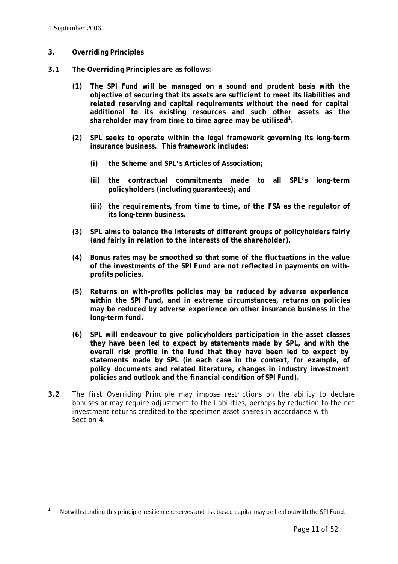$\overline{a}$ 

## **3. Overriding Principles**

- **3.1 The Overriding Principles are as follows:**
	- **(1) The** *SPI Fund* **will be managed on a sound and prudent basis with the objective of securing that its assets are sufficient to meet its liabilities and related reserving and capital requirements without the need for capital additional to its existing resources and such other assets as the** *shareholder* **may from time to time agree may be utilised<sup>1</sup> .**
	- **(2)** *SPL* **seeks to operate within the legal framework governing its long-term insurance business. This framework includes:**
		- **(i) the** *Scheme* **and** *SPL***'s Articles of Association;**
		- **(ii) the contractual commitments made to all** *SPL***'s long-term policyholders (including guarantees); and**
		- **(iii) the requirements, from time to time, of the** *FSA* **as the regulator of its long-term business.**
	- **(3)** *SPL* **aims to balance the interests of different groups of policyholders fairly (and fairly in relation to the interests of the** *shareholder***).**
	- **(4) Bonus rates may be smoothed so that some of the fluctuations in the value of the investments of the** *SPI Fund* **are not reflected in payments on withprofits policies.**
	- **(5) Returns on with-profits policies may be reduced by adverse experience within the** *SPI Fund***, and in extreme circumstances, returns on policies may be reduced by adverse experience on other insurance business in the long-term fund.**
	- **(6)** *SPL* **will endeavour to give policyholders participation in the asset classes they have been led to expect by statements made by** *SPL***, and with the overall risk profile in the fund that they have been led to expect by statements made by** *SPL* **(in each case in the context, for example, of policy documents and related literature, changes in industry investment policies and outlook and the financial condition of** *SPI Fund***).**
- **3.2** The first Overriding Principle may impose restrictions on the ability to declare bonuses or may require adjustment to the liabilities, perhaps by reduction to the *net investment returns* credited to the *specimen asset shares* in accordance with Section 4.

<sup>1</sup> Notwithstanding this principle, resilience reserves and risk based capital may be held outwith the *SPI Fund*.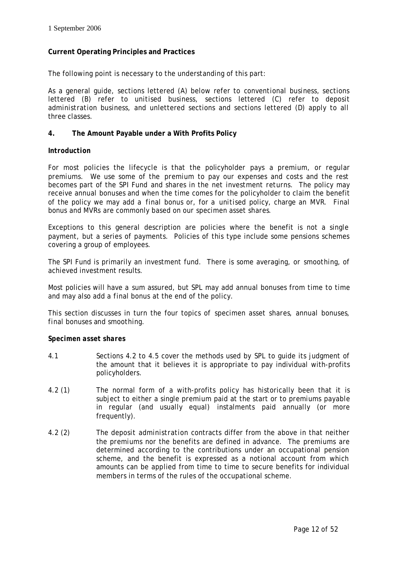## **Current Operating Principles and Practices**

The following point is necessary to the understanding of this part:

As a general guide, sections lettered (A) below refer to *conventional business*, sections lettered (B) refer to *unitised business*, sections lettered (C) refer *to deposit administration business*, and unlettered sections and sections lettered (D) apply to all three classes.

## **4. The Amount Payable under a With Profits Policy**

## *Introduction*

For most policies the lifecycle is that the policyholder pays a *premium*, or regular *premium*s. We use some of the *premium* to pay our expenses and costs and the rest becomes part of the *SPI Fund* and shares in the *net investment returns*. The policy may receive *annual bonuses* and when the time comes for the policyholder to claim the benefit of the policy we may add a *final bonus* or, for a *unitised* policy, charge an *MVR*. *Final bonus* and *MVRs* are commonly based on our *specimen asset shares*.

Exceptions to this general description are policies where the benefit is not a single payment, but a series of payments. Policies of this type include some pensions schemes covering a group of employees.

The *SPI Fund* is primarily an investment fund. There is some averaging, or *smoothing*, of achieved investment results.

Most policies will have a *sum assured*, but *SPL* may add *annual bonuses* from time to time and may also add a *final bonus* at the end of the policy.

This section discusses in turn the four topics of *specimen asset shares*, *annual bonuses*, *final bonuses* and *smoothing*.

#### *Specimen asset shares*

- 4.1 Sections 4.2 to 4.5 cover the methods used by *SPL* to guide its judgment of the amount that it believes it is appropriate to pay individual with-profits policyholders.
- 4.2 (1) The normal form of a with-profits policy has historically been that it is subject to either a single *premium* paid at the start or to *premiums* payable in regular (and usually equal) instalments paid annually (or more frequently).
- 4.2 (2) The *deposit administration* contracts differ from the above in that neither the *premiums* nor the benefits are defined in advance. The *premiums* are determined according to the contributions under an occupational pension scheme, and the benefit is expressed as a notional account from which amounts can be applied from time to time to secure benefits for individual members in terms of the rules of the occupational scheme.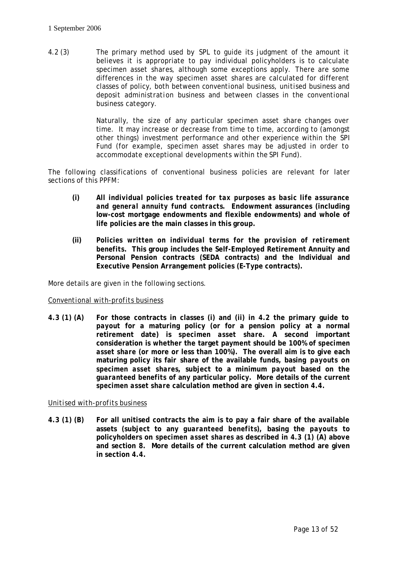4.2 (3) The primary method used by *SPL* to guide its judgment of the amount it believes it is appropriate to pay individual policyholders is to calculate specimen *asset shares*, although some exceptions apply. There are some differences in the way *specimen asset shares* are calculated for different classes of policy, both between *conventional business*, *unitised business* and *deposit administration* business and between classes in the *conventional business* category.

> Naturally, the size of any particular *specimen asset share* changes over time. It may increase or decrease from time to time, according to (amongst other things) investment performance and other experience within the *SPI Fund* (for example, *specimen asset shares* may be adjusted in order to accommodate exceptional developments within the *SPI Fund*).

The following classifications of conventional business policies are relevant for later sections of this *PPFM*:

- **(i)** *All individual policies treated for tax purposes as basic life assurance and general annuity fund contracts***. Endowment assurances (including low-cost mortgage endowments and flexible endowments) and whole of life policies are the main classes in this group.**
- **(ii)** *Policies written on individual terms for the provision of retirement benefits***. This group includes the Self-Employed Retirement Annuity and Personal Pension contracts (SEDA contracts) and the Individual and Executive Pension Arrangement policies (E-Type contracts).**

More details are given in the following sections.

## *Conventional with-profits business*

**4.3 (1) (A) For those contracts in classes (i) and (ii) in 4.2 the primary guide to**  *payout* **for a maturing policy (or for a pension policy at a normal retirement date) is** *specimen asset share***. A second important consideration is whether the target payment should be 100% of** *specimen asset share* **(or more or less than 100%). The overall aim is to give each maturing policy its fair share of the available funds, basing** *payouts* **on**  *specimen asset shares***, subject to a minimum** *payout* **based on the** *guaranteed benefits* **of any particular policy. More details of the current**  *specimen asset share* **calculation method are given in section 4.4.**

#### *Unitised with-profits business*

**4.3 (1) (B) For all unitised contracts the aim is to pay a fair share of the available assets (subject to any** *guaranteed benefits***), basing the** *payouts* **to policyholders on** *specimen asset shares* **as described in 4.3 (1) (A) above and section 8. More details of the current calculation method are given in section 4.4.**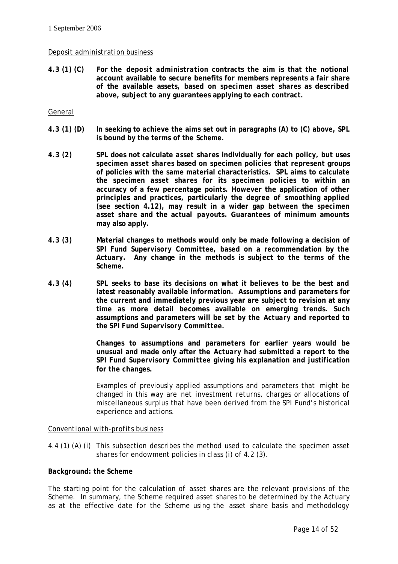## *Deposit administration* business

**4.3 (1) (C) For the** *deposit administration* **contracts the aim is that the notional account available to secure benefits for members represents a fair share of the available assets, based on** *specimen asset shares* **as described above, subject to any guarantees applying to each contract.** 

## General

- **4.3 (1) (D) In seeking to achieve the aims set out in paragraphs (A) to (C) above,** *SPL* **is bound by the terms of the** *Scheme***.**
- **4.3 (2)** *SPL* **does not calculate** *asset shares* **individually for each policy, but uses**  *specimen asset shares* **based on** *specimen policies* **that represent groups of policies with the same material characteristics.** *SPL* **aims to calculate the** *specimen asset shares* **for its** *specimen policies* **to within an accuracy of a few percentage points. However the application of other principles and practices, particularly the degree of** *smoothing* **applied (see section 4.12), may result in a wider gap between the** *specimen asset share* **and the actual** *payouts***. Guarantees of minimum amounts may also apply.**
- **4.3 (3) Material changes to methods would only be made following a decision of**  *SPI Fund Supervisory Committee***, based on a recommendation by the**  *Actuary***. Any change in the methods is subject to the terms of the** *Scheme***.**
- **4.3 (4)** *SPL* **seeks to base its decisions on what it believes to be the best and latest reasonably available information. Assumptions and parameters for the current and immediately previous year are subject to revision at any time as more detail becomes available on emerging trends. Such assumptions and parameters will be set by the** *Actuary* **and reported to the** *SPI Fund Supervisory Committee***.**

**Changes to assumptions and parameters for earlier years would be unusual and made only after the** *Actuary* **had submitted a report to the**  *SPI Fund Supervisory Committee* **giving his explanation and justification for the changes.** 

Examples of previously applied assumptions and parameters that might be changed in this way are *net investment returns*, charges or allocations of miscellaneous surplus that have been derived from the *SPI Fund*'s historical experience and actions.

#### *Conventional with-profits business*

4.4 (1) (A) (i) This subsection describes the method used to calculate the *specimen asset shares* for endowment policies in class (i) of 4.2 (3).

#### *Background: the Scheme*

The starting point for the calculation of *asset shares* are the relevant provisions of the *Scheme*. In summary, the *Scheme* required *asset shares* to be determined by the *Actuary* as at the effective date for the *Scheme* using the *asset share* basis and methodology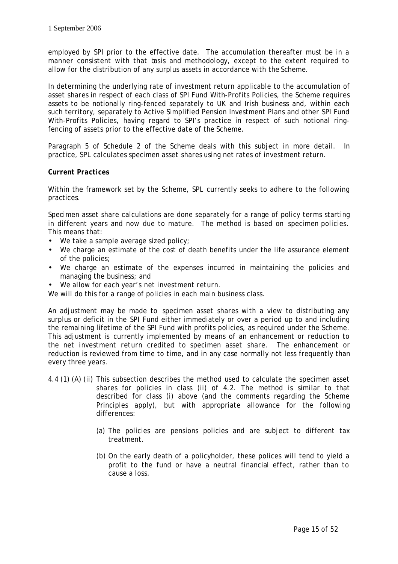employed by *SPI* prior to the effective date. The accumulation thereafter must be in a manner consistent with that basis and methodology, except to the extent required to allow for the distribution of any surplus assets in accordance with the *Scheme*.

In determining the underlying rate of investment return applicable to the accumulation of *asset shares* in respect of each class of *SPI Fund* With-Profits Policies, the *Scheme* requires assets to be notionally ring-fenced separately to UK and Irish business and, within each such territory, separately to Active Simplified Pension Investment Plans and other *SPI Fund* With-Profits Policies, having regard to *SPI*'s practice in respect of such notional ringfencing of assets prior to the effective date of the *Scheme*.

Paragraph 5 of Schedule 2 of the *Scheme* deals with this subject in more detail. In practice, *SPL* calculates *specimen asset shares* using net rates of investment return.

## *Current Practices*

Within the framework set by the *Scheme*, *SPL* currently seeks to adhere to the following practices.

*Specimen asset share* calculations are done separately for a range of policy terms starting in different years and now due to mature. The method is based on *specimen* policies. This means that:

- We take a sample average sized policy;
- We charge an estimate of the cost of death benefits under the life assurance element of the policies;
- We charge an estimate of the expenses incurred in maintaining the policies and managing the business; and
- We allow for each year's *net investment return*.

We will do this for a range of policies in each main business class.

An adjustment may be made to *specimen asset shares* with a view to distributing any surplus or deficit in the *SPI Fund* either immediately or over a period up to and including the remaining lifetime of the *SPI Fund* with profits policies, as required under the *Scheme*. This adjustment is currently implemented by means of an enhancement or reduction to the *net investment return* credited to *specimen asset share*. The enhancement or reduction is reviewed from time to time, and in any case normally not less frequently than every three years.

- 4.4 (1) (A) (ii) This subsection describes the method used to calculate the *specimen asset shares* for policies in class (ii) of 4.2. The method is similar to that described for class (i) above (and the comments regarding the *Scheme* Principles apply), but with appropriate allowance for the following differences:
	- (a) The policies are pensions policies and are subject to different tax treatment.
	- (b) On the early death of a policyholder, these polices will tend to yield a profit to the fund or have a neutral financial effect, rather than to cause a loss.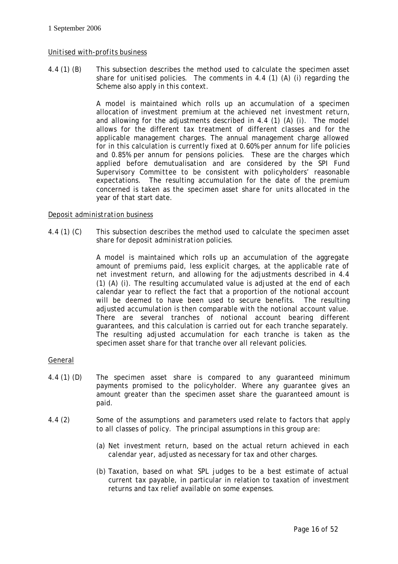## *Unitised with-profits business*

4.4 (1) (B) This subsection describes the method used to calculate the *specimen asset share* for *unitised* policies. The comments in 4.4 (1) (A) (i) regarding the *Scheme* also apply in this context.

> A model is maintained which rolls up an accumulation of a *specimen* allocation of investment premium at the achieved *net investment return*, and allowing for the adjustments described in 4.4 (1) (A) (i). The model allows for the different tax treatment of different classes and for the applicable management charges. The annual management charge allowed for in this calculation is currently fixed at 0.60% per annum for life policies and 0.85% per annum for pensions policies. These are the charges which applied before demutualisation and are considered by the *SPI Fund Supervisory Committee* to be consistent with policyholders' reasonable expectations. The resulting accumulation for the date of the *premium* concerned is taken as the *specimen asset share* for *units* allocated in the year of that start date.

## *Deposit administration* business

4.4 (1) (C) This subsection describes the method used to calculate the *specimen asset share* for *deposit administration* policies.

> A model is maintained which rolls up an accumulation of the aggregate amount of *premiums* paid, less explicit charges, at the applicable rate of *net investment return*, and allowing for the adjustments described in 4.4 (1) (A) (i). The resulting accumulated value is adjusted at the end of each calendar year to reflect the fact that a proportion of the notional account will be deemed to have been used to secure benefits. The resulting adjusted accumulation is then comparable with the notional account value. There are several tranches of notional account bearing different guarantees, and this calculation is carried out for each tranche separately. The resulting adjusted accumulation for each tranche is taken as the *specimen asset share* for that tranche over all relevant policies.

## General

- 4.4 (1) (D) The *specimen asset share* is compared to any guaranteed minimum payments promised to the policyholder. Where any guarantee gives an amount greater than the *specimen asset share* the guaranteed amount is paid.
- 4.4 (2) Some of the assumptions and parameters used relate to factors that apply to all classes of policy. The principal assumptions in this group are:
	- (a) *Net investment return*, based on the actual return achieved in each calendar year, adjusted as necessary for tax and other charges.
	- (b) Taxation, based on what *SPL* judges to be a best estimate of actual current tax payable, in particular in relation to taxation of investment returns and tax relief available on some expenses.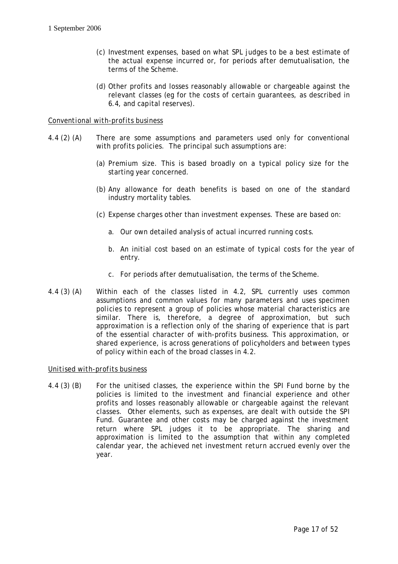- (c) Investment expenses, based on what *SPL* judges to be a best estimate of the actual expense incurred or, for periods after demutualisation, the terms of the *Scheme*.
- (d) Other profits and losses reasonably allowable or chargeable against the relevant classes (*eg* for the costs of certain guarantees, as described in 6.4, and capital reserves).

## *Conventional with-profits business*

- 4.4 (2) (A) There are some assumptions and parameters used only for conventional with profits policies. The principal such assumptions are:
	- (a) *Premium* size. This is based broadly on a typical policy size for the starting year concerned.
	- (b) Any allowance for death benefits is based on one of the standard industry mortality tables.
	- (c) Expense charges other than investment expenses. These are based on:
		- a. Our own detailed analysis of actual incurred running costs.
		- b. An initial cost based on an estimate of typical costs for the year of entry.
		- c. For periods after demutualisation, the terms of the *Scheme*.
- 4.4 (3) (A) Within each of the classes listed in 4.2, *SPL* currently uses common assumptions and common values for many parameters and uses *specimen policies* to represent a group of policies whose material characteristics are similar. There is, therefore, a degree of approximation, but such approximation is a reflection only of the sharing of experience that is part of the essential character of with-profits business. This approximation, or shared experience, is across generations of policyholders and between types of policy within each of the broad classes in 4.2.

## *Unitised with-profits business*

4.4 (3) (B) For the unitised classes, the experience within the *SPI Fund* borne by the policies is limited to the investment and financial experience and other profits and losses reasonably allowable or chargeable against the relevant classes. Other elements, such as expenses, are dealt with outside the *SPI Fund*. Guarantee and other costs may be charged against the investment return where *SPL* judges it to be appropriate. The sharing and approximation is limited to the assumption that within any completed calendar year, the achieved *net investment return* accrued evenly over the year.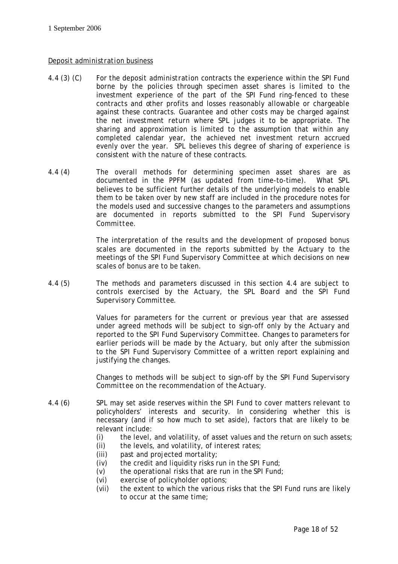## *Deposit administration* business

- 4.4 (3) (C) For the *deposit administration* contracts the experience within the *SPI Fund* borne by the policies through *specimen asset shares* is limited to the investment experience of the part of the *SPI Fund* ring-fenced to these contracts and other profits and losses reasonably allowable or chargeable against these contracts. Guarantee and other costs may be charged against the *net investment return* where *SPL* judges it to be appropriate. The sharing and approximation is limited to the assumption that within any completed calendar year, the achieved *net investment return* accrued evenly over the year. *SPL* believes this degree of sharing of experience is consistent with the nature of these contracts.
- 4.4 (4) The overall methods for determining *specimen asset shares* are as documented in the *PPFM* (as updated from time-to-time). What *SPL* believes to be sufficient further details of the underlying models to enable them to be taken over by new staff are included in the procedure notes for the models used and successive changes to the parameters and assumptions are documented in reports submitted to the *SPI Fund Supervisory Committee*.

The interpretation of the results and the development of proposed bonus scales are documented in the reports submitted by the *Actuary* to the meetings of the *SPI Fund Supervisory Committee* at which decisions on new scales of bonus are to be taken.

4.4 (5) The methods and parameters discussed in this section 4.4 are subject to controls exercised by the *Actuary*, the *SPL Board* and the *SPI Fund Supervisory Committee*.

> Values for parameters for the current or previous year that are assessed under agreed methods will be subject to sign-off only by the *Actuary* and reported to the *SPI Fund Supervisory Committee*. Changes to parameters for earlier periods will be made by the *Actuary*, but only after the submission to the *SPI Fund Supervisory Committee* of a written report explaining and justifying the changes.

> Changes to methods will be subject to sign-off by the *SPI Fund Supervisory Committee* on the recommendation of the *Actuary*.

- 4.4 (6) *SPL* may set aside reserves within the *SPI Fund* to cover matters relevant to policyholders' interests and security. In considering whether this is necessary (and if so how much to set aside), factors that are likely to be relevant include:
	- (i) the level, and volatility, of asset values and the return on such assets;
	- (ii) the levels, and volatility, of interest rates;
	- (iii) past and projected mortality;
	- (iv) the credit and liquidity risks run in the *SPI Fund*;
	- (v) the operational risks that are run in the *SPI Fund*;
	- (vi) exercise of policyholder options;
	- (vii) the extent to which the various risks that the *SPI Fund* runs are likely to occur at the same time;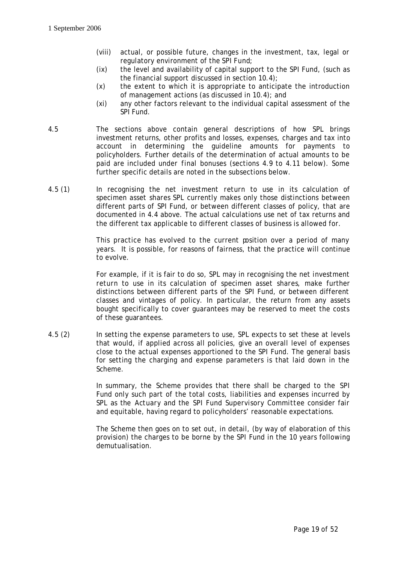- (viii) actual, or possible future, changes in the investment, tax, legal or regulatory environment of the *SPI Fund*;
- (ix) the level and availability of capital support to the *SPI Fund*, (such as the financial support discussed in section 10.4);
- (x) the extent to which it is appropriate to anticipate the introduction of management actions (as discussed in 10.4); and
- (xi) any other factors relevant to the individual capital assessment of the *SPI Fund*.
- 4.5 The sections above contain general descriptions of how *SPL* brings investment returns, other profits and losses, expenses, charges and tax into account in determining the guideline amounts for payments to policyholders. Further details of the determination of actual amounts to be paid are included under *final bonuses* (sections 4.9 to 4.11 below). Some further specific details are noted in the subsections below.
- 4.5 (1) In recognising the *net investment return* to use in its calculation of *specimen asset shares SPL* currently makes only those distinctions between different parts of *SPI Fund*, or between different classes of policy, that are documented in 4.4 above. The actual calculations use net of tax returns and the different tax applicable to different classes of business is allowed for.

This practice has evolved to the current position over a period of many years. It is possible, for reasons of fairness, that the practice will continue to evolve.

For example, if it is fair to do so, *SPL* may in recognising the *net investment return* to use in its calculation of *specimen asset shares*, make further distinctions between different parts of the *SPI Fund*, or between different classes and vintages of policy. In particular, the return from any assets bought specifically to cover guarantees may be reserved to meet the costs of these guarantees.

4.5 (2) In setting the expense parameters to use, *SPL* expects to set these at levels that would, if applied across all policies, give an overall level of expenses close to the actual expenses apportioned to the *SPI Fund*. The general basis for setting the charging and expense parameters is that laid down in the *Scheme*.

> In summary, the *Scheme* provides that there shall be charged to the *SPI Fund* only such part of the total costs, liabilities and expenses incurred by *SPL* as the *Actuary* and the *SPI Fund Supervisory Committee* consider fair and equitable, having regard to policyholders' reasonable expectations.

> The *Scheme* then goes on to set out, in detail, (by way of elaboration of this provision) the charges to be borne by the *SPI Fund* in the 10 years following demutualisation.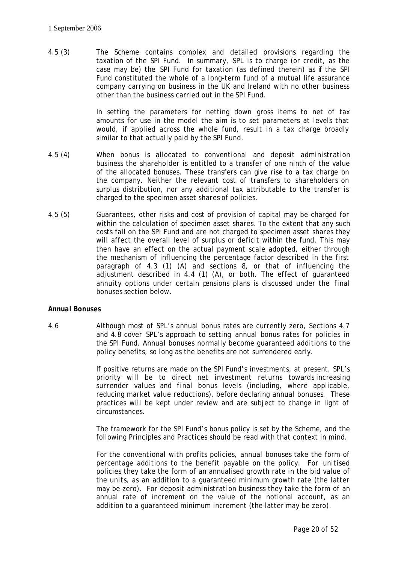4.5 (3) The *Scheme* contains complex and detailed provisions regarding the taxation of the *SPI Fund*. In summary, *SPL* is to charge (or credit, as the case may be) the *SPI Fund* for taxation (as defined therein) as **f** the *SPI Fund* constituted the whole of a long-term fund of a mutual life assurance company carrying on business in the UK and Ireland with no other business other than the business carried out in the *SPI Fund*.

> In setting the parameters for netting down gross items to net of tax amounts for use in the model the aim is to set parameters at levels that would, if applied across the whole fund, result in a tax charge broadly similar to that actually paid by the *SPI Fund*.

- 4.5 (4) When bonus is allocated to *conventional* and *deposit administration business* the *shareholder* is entitled to a transfer of one ninth of the value of the allocated bonuses. These transfers can give rise to a tax charge on the company. Neither the relevant cost of transfers to *shareholders* on surplus distribution, nor any additional tax attributable to the transfer is charged to the *specimen asset shares* of policies.
- 4.5 (5) Guarantees, other risks and cost of provision of capital may be charged for within the calculation of *specimen asset shares*. To the extent that any such costs fall on the *SPI Fund* and are not charged to *specimen asset shares* they will affect the overall level of surplus or deficit within the fund. This may then have an effect on the actual payment scale adopted, either through the mechanism of influencing the percentage factor described in the first paragraph of 4.3 (1) (A) and sections 8, or that of influencing the adjustment described in 4.4 (1) (A), or both. The effect of guaranteed *annuity* options under certain pensions plans is discussed under the *final bonuses* section below.

## *Annual Bonuses*

4.6 Although most of *SPL*'s *annual bonus* rates are currently zero, Sections 4.7 and 4.8 cover *SPL*'s approach to setting *annual bonus* rates for policies in the *SPI Fund*. *Annual bonuses* normally become guaranteed additions to the policy benefits, so long as the benefits are not surrendered early.

> If positive returns are made on the *SPI Fund*'s investments, at present, *SPL*'s priority will be to direct *net investment returns* towards increasing *surrender values* and *final bonus* levels (including, where applicable, reducing *market value reductions*), before declaring *annual bonuses*. These practices will be kept under review and are subject to change in light of circumstances.

> The framework for the *SPI Fund*'s bonus policy is set by the *Scheme*, and the following Principles and Practices should be read with that context in mind.

> For the *conventional* with profits policies, *annual bonuses* take the form of percentage additions to the benefit payable on the policy. For *unitised* policies they take the form of an annualised growth rate in the bid value of the *units*, as an addition to a guaranteed minimum growth rate (the latter may be zero). For *deposit administration* business they take the form of an annual rate of increment on the value of the notional account, as an addition to a guaranteed minimum increment (the latter may be zero).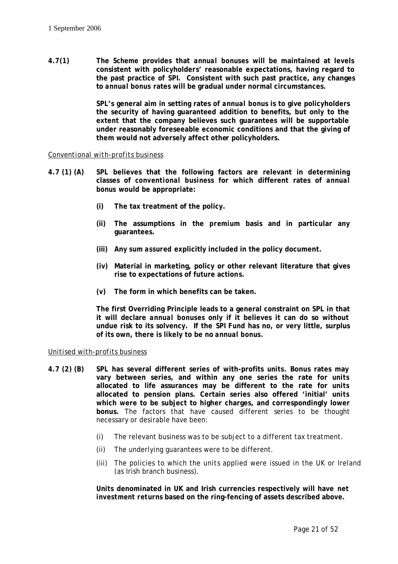**4.7(1) The** *Scheme* **provides that** *annual bonuses* **will be maintained at levels consistent with policyholders' reasonable expectations, having regard to the past practice of** *SPI***. Consistent with such past practice, any changes to** *annual bonus* **rates will be gradual under normal circumstances.**

> *SPL***'s general aim in setting rates of** *annual bonus* **is to give policyholders the security of having guaranteed addition to benefits, but only to the extent that the company believes such guarantees will be supportable under reasonably foreseeable economic conditions and that the giving of them would not adversely affect other policyholders.**

#### *Conventional with-profits business*

- **4.7 (1) (A)** *SPL* **believes that the following factors are relevant in determining classes of** *conventional business* **for which different rates of** *annual bonus* **would be appropriate:** 
	- **(i) The tax treatment of the policy.**
	- **(ii) The assumptions in the** *premium* **basis and in particular any guarantees.**
	- **(iii) Any** *sum assured* **explicitly included in the policy document.**
	- **(iv) Material in marketing, policy or other relevant literature that gives rise to expectations of future actions.**
	- **(v) The form in which benefits can be taken.**

**The first Overriding Principle leads to a general constraint on** *SPL* **in that it will declare** *annual bonuses* **only if it believes it can do so without undue risk to its solvency. If the** *SPI Fund* **has no, or very little, surplus of its own, there is likely to be no** *annual bonus***.**

#### *Unitised with-profits business*

- **4.7 (2) (B)** *SPL* **has several different series of with-profits** *units***. Bonus rates may vary between series, and within any one series the rate for** *units* **allocated to life assurances may be different to the rate for** *units* **allocated to pension plans. Certain series also offered 'initial'** *units* **which were to be subject to higher charges, and correspondingly lower bonus.** The factors that have caused different series to be thought necessary or desirable have been:
	- (i) The relevant business was to be subject to a different tax treatment.
	- (ii) The underlying guarantees were to be different.
	- (iii) The policies to which the *units* applied were issued in the UK or Ireland (as Irish branch business).

*Units* **denominated in UK and Irish currencies respectively will have** *net investment returns* **based on the ring-fencing of assets described above.**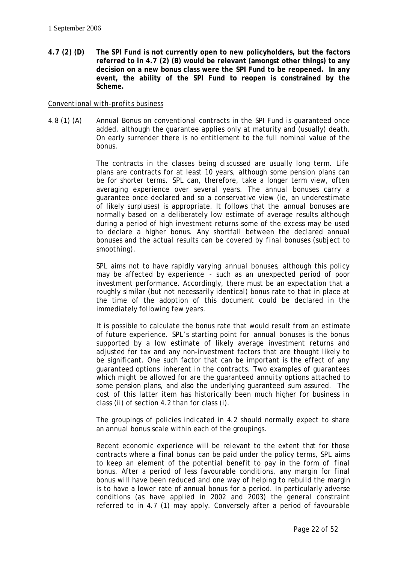**4.7 (2) (D) The** *SPI Fund* **is not currently open to new policyholders, but the factors referred to in 4.7 (2) (B) would be relevant (amongst other things) to any decision on a new bonus class were the** *SPI Fund* **to be reopened. In any event, the ability of the** *SPI Fund* **to reopen is constrained by the** *Scheme***.**

## *Conventional with-profits business*

4.8 (1) (A) *Annual Bonus* on conventional contracts in the *SPI Fund* is guaranteed once added, although the guarantee applies only at maturity and (usually) death. On early surrender there is no entitlement to the full nominal value of the bonus.

> The contracts in the classes being discussed are usually long term. Life plans are contracts for at least 10 years, although some pension plans can be for shorter terms. *SPL* can, therefore, take a longer term view, often averaging experience over several years. The *annual bonuses* carry a guarantee once declared and so a conservative view (*ie*, an underestimate of likely surpluses) is appropriate. It follows that the *annual bonuses* are normally based on a deliberately low estimate of average results although during a period of high investment returns some of the excess may be used to declare a higher bonus. Any shortfall between the declared *annual bonuses* and the actual results can be covered by *final bonuses* (subject to *smoothing*).

> *SPL* aims not to have rapidly varying *annual bonuses*, although this policy may be affected by experience - such as an unexpected period of poor investment performance. Accordingly, there must be an expectation that a roughly similar (but not necessarily identical) bonus rate to that in place at the time of the adoption of this document could be declared in the immediately following few years.

> It is possible to calculate the bonus rate that would result from an estimate of future experience. *SPL*'s starting point for *annual bonuses* is the bonus supported by a low estimate of likely average investment returns and adjusted for tax and any non-investment factors that are thought likely to be significant. One such factor that can be important is the effect of any guaranteed options inherent in the contracts. Two examples of guarantees which might be allowed for are the guaranteed *annuity* options attached to some pension plans, and also the underlying guaranteed *sum assured*. The cost of this latter item has historically been much higher for business in class (ii) of section 4.2 than for class (i).

> The groupings of policies indicated in 4.2 should normally expect to share an *annual bonus* scale within each of the groupings.

> Recent economic experience will be relevant to the extent that for those contracts where a *final bonus* can be paid under the policy terms, *SPL* aims to keep an element of the potential benefit to pay in the form of *final bonus*. After a period of less favourable conditions, any margin for *final bonus* will have been reduced and one way of helping to rebuild the margin is to have a lower rate of *annual bonus* for a period. In particularly adverse conditions (as have applied in 2002 and 2003) the general constraint referred to in 4.7 (1) may apply. Conversely after a period of favourable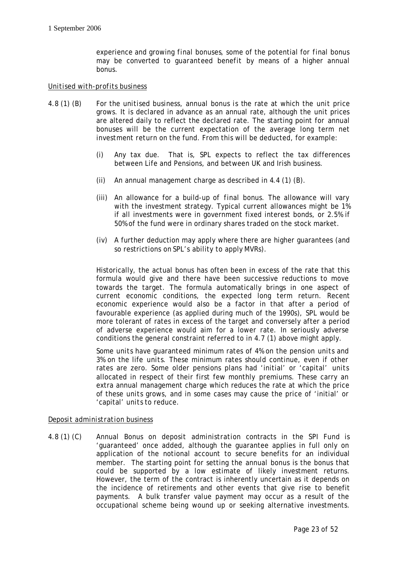experience and growing *final bonuses*, some of the potential for *final bonus* may be converted to *guaranteed benefit* by means of a higher *annual bonus*.

## *Unitised with-profits business*

- 4.8 (1) (B) For the *unitised business*, *annual bonus* is the rate at which the *unit* price grows. It is declared in advance as an annual rate, although the *unit* prices are altered daily to reflect the declared rate. The starting point for *annual bonuses* will be the current expectation of the average long term *net investment return* on the fund. From this will be deducted, for example:
	- (i) Any tax due. That is, *SPL* expects to reflect the tax differences between Life and Pensions, and between UK and Irish business.
	- (ii) An annual management charge as described in 4.4 (1) (B).
	- (iii) An allowance for a build-up of *final bonus*. The allowance will vary with the investment strategy. Typical current allowances might be 1% if all investments were in government fixed interest bonds, or 2.5% if 50% of the fund were in ordinary shares traded on the stock market.
	- (iv) A further deduction may apply where there are higher guarantees (and so restrictions on *SPL*'s ability to apply *MVRs*).

Historically, the actual bonus has often been in excess of the rate that this formula would give and there have been successive reductions to move towards the target. The formula automatically brings in one aspect of current economic conditions, the expected long term return. Recent economic experience would also be a factor in that after a period of favourable experience (as applied during much of the 1990s), *SPL* would be more tolerant of rates in excess of the target and conversely after a period of adverse experience would aim for a lower rate. In seriously adverse conditions the general constraint referred to in 4.7 (1) above might apply.

Some *units* have guaranteed minimum rates of 4% on the pension *units* and 3% on the life *units*. These minimum rates should continue, even if other rates are zero. Some older pensions plans had 'initial' or 'capital' *units* allocated in respect of their first few monthly *premiums*. These carry an extra annual management charge which reduces the rate at which the price of these *units* grows, and in some cases may cause the price of 'initial' or 'capital' *units* to reduce.

#### *Deposit administration* business

4.8 (1) (C) *Annual Bonus* on *deposit administration* contracts in the *SPI Fund* is 'guaranteed' once added, although the guarantee applies in full only on application of the notional account to secure benefits for an individual member. The starting point for setting the *annual bonus* is the bonus that could be supported by a low estimate of likely investment returns. However, the term of the contract is inherently uncertain as it depends on the incidence of retirements and other events that give rise to benefit payments. A bulk transfer value payment may occur as a result of the occupational scheme being wound up or seeking alternative investments.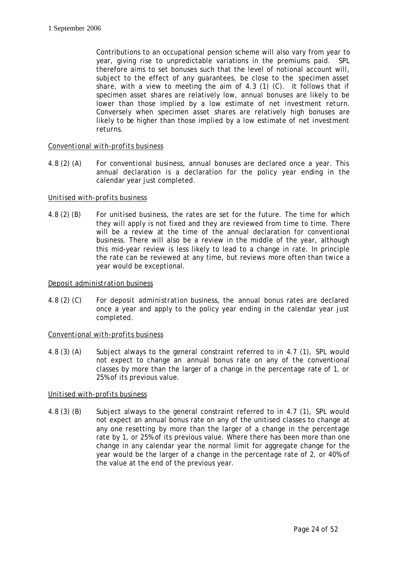Contributions to an occupational pension scheme will also vary from year to year, giving rise to unpredictable variations in the *premiums* paid. *SPL* therefore aims to set bonuses such that the level of notional account will, subject to the effect of any guarantees, be close to the *specimen asset share*, with a view to meeting the aim of 4.3 (1) (C). It follows that if *specimen asset shares* are relatively low, *annual bonuses* are likely to be lower than those implied by a low estimate of *net investment return*. Conversely when *specimen asset shares* are relatively high bonuses are likely to be higher than those implied by a low estimate of *net investment returns*.

## *Conventional with-profits business*

4.8 (2) (A) For *conventional business*, *annual bonuses* are declared once a year. This annual declaration is a declaration for the policy year ending in the calendar year just completed.

## *Unitised with-profits business*

4.8 (2) (B) For *unitised business*, the rates are set for the future. The time for which they will apply is not fixed and they are reviewed from time to time. There will be a review at the time of the annual declaration for *conventional business*. There will also be a review in the middle of the year, although this mid-year review is less likely to lead to a change in rate. In principle the rate can be reviewed at any time, but reviews more often than twice a year would be exceptional.

#### *Deposit administration* business

4.8 (2) (C) For *deposit administration* business, the *annual bonus* rates are declared once a year and apply to the policy year ending in the calendar year just completed.

#### *Conventional with-profits business*

4.8 (3) (A) Subject always to the general constraint referred to in 4.7 (1), *SPL* would not expect to change an *annual bonus* rate on any of the conventional classes by more than the larger of a change in the percentage rate of 1, or 25% of its previous value.

#### *Unitised with-profits business*

4.8 (3) (B) Subject always to the general constraint referred to in 4.7 (1), *SPL* would not expect an *annual bonus* rate on any of the unitised classes to change at any one resetting by more than the larger of a change in the percentage rate by 1, or 25% of its previous value. Where there has been more than one change in any calendar year the normal limit for aggregate change for the year would be the larger of a change in the percentage rate of 2, or 40% of the value at the end of the previous year.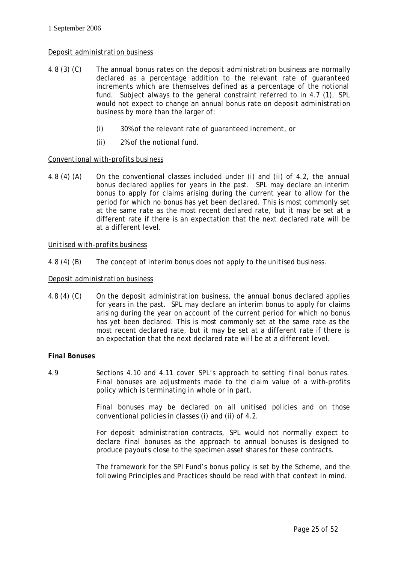## *Deposit administration* business

- 4.8 (3) (C) The *annual bonus* rates on the *deposit administration* business are normally declared as a percentage addition to the relevant rate of guaranteed increments which are themselves defined as a percentage of the notional fund. Subject always to the general constraint referred to in 4.7 (1), *SPL* would not expect to change an *annual bonus* rate on *deposit administration* business by more than the larger of:
	- (i) 30% of the relevant rate of guaranteed increment, or
	- (ii) 2% of the notional fund.

## *Conventional with-profits business*

4.8 (4) (A) On the conventional classes included under (i) and (ii) of 4.2, the *annual bonus* declared applies for years in the past. *SPL* may declare an interim bonus to apply for claims arising during the current year to allow for the period for which no bonus has yet been declared. This is most commonly set at the same rate as the most recent declared rate, but it may be set at a different rate if there is an expectation that the next declared rate will be at a different level.

## *Unitised with-profits business*

4.8 (4) (B) The concept of interim bonus does not apply to the *unitised business*.

## *Deposit administration* business

4.8 (4) (C) On the *deposit administration* business, the *annual bonus* declared applies for years in the past. *SPL* may declare an interim bonus to apply for claims arising during the year on account of the current period for which no bonus has yet been declared. This is most commonly set at the same rate as the most recent declared rate, but it may be set at a different rate if there is an expectation that the next declared rate will be at a different level.

#### *Final Bonuses*

4.9 Sections 4.10 and 4.11 cover *SPL*'s approach to setting *final bonus* rates. *Final bonuses* are adjustments made to the claim value of a with-profits policy which is terminating in whole or in part.

> *Final bonuses* may be declared on all unitised policies and on those conventional policies in classes (i) and (ii) of 4.2.

> For *deposit administration* contracts, *SPL* would not normally expect to declare *final bonuses* as the approach to *annual bonuses* is designed to produce *payouts* close to the *specimen asset shares* for these contracts.

> The framework for the *SPI Fund*'s bonus policy is set by the *Scheme*, and the following Principles and Practices should be read with that context in mind.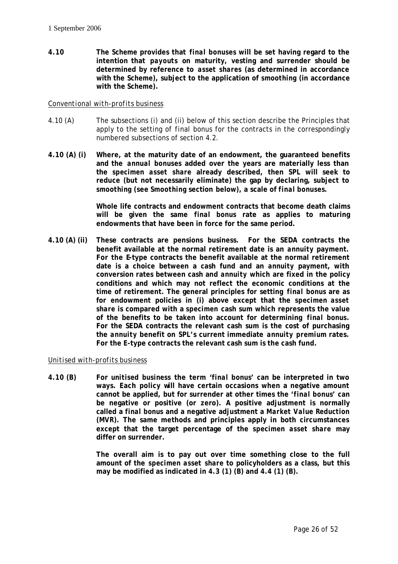**4.10 The** *Scheme* **provides that** *final bonuses* **will be set having regard to the intention that** *payouts* **on maturity, vesting and surrender should be determined by reference to** *asset shares* **(as determined in accordance with the** *Scheme***), subject to the application of** *smoothing* **(in accordance with the** *Scheme***).** 

## *Conventional with-profits business*

- 4.10 (A) The subsections (i) and (ii) below of this section describe the Principles that apply to the setting of *final bonus* for the contracts in the correspondingly numbered subsections of section 4.2.
- **4.10 (A) (i) Where, at the maturity date of an endowment, the guaranteed benefits and the** *annual bonuses* **added over the years are materially less than the** *specimen asset share* **already described, then** *SPL* **will seek to reduce (but not necessarily eliminate) the gap by declaring, subject to**  *smoothing* **(see** *Smoothing* **section below), a scale of** *final bonuses***.**

**Whole life contracts and endowment contracts that become death claims will be given the same** *final bonus* **rate as applies to maturing endowments that have been in force for the same period.**

**4.10 (A) (ii) These contracts are pensions business. For the SEDA contracts the benefit available at the normal retirement date is an** *annuity* **payment. For the E-type contracts the benefit available at the normal retirement date is a choice between a cash fund and an** *annuity* **payment, with conversion rates between cash and** *annuity* **which are fixed in the policy conditions and which may not reflect the economic conditions at the time of retirement. The general principles for setting** *final bonus* **are as for endowment policies in (i) above except that the** *specimen asset share* **is compared with a** *specimen* **cash sum which represents the value of the benefits to be taken into account for determining** *final bonus***. For the SEDA contracts the relevant cash sum is the cost of purchasing the** *annuity* **benefit on** *SPL***'s current immediate** *annuity premium* **rates. For the E-type contracts the relevant cash sum is the cash fund.**

## *Unitised with-profits business*

**4.10 (B) For** *unitised business* **the term '***final bonus***' can be interpreted in two ways. Each policy will have certain occasions when a negative amount cannot be applied, but for surrender at other times the '***final bonus***' can be negative or positive (or zero). A positive adjustment is normally called a** *final bonus* **and a negative adjustment a** *Market Value Reduction* **(***MVR***). The same methods and principles apply in both circumstances except that the target percentage of the** *specimen asset share* **may differ on surrender.**

> **The overall aim is to pay out over time something close to the full amount of the** *specimen asset share* **to policyholders as a class, but this may be modified as indicated in 4.3 (1) (B) and 4.4 (1) (B).**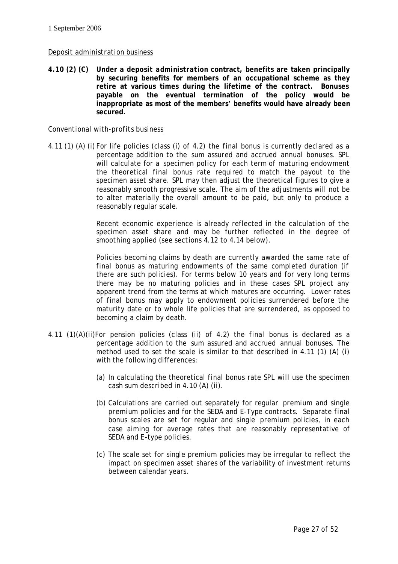## *Deposit administration* business

**4.10 (2) (C) Under a** *deposit administration* **contract, benefits are taken principally by securing benefits for members of an occupational scheme as they retire at various times during the lifetime of the contract. Bonuses payable on the eventual termination of the policy would be inappropriate as most of the members' benefits would have already been secured.** 

#### *Conventional with-profits business*

4.11 (1) (A) (i) For life policies (class (i) of 4.2) the *final bonus* is currently declared as a percentage addition to the *sum assured* and accrued *annual bonuses*. *SPL* will calculate for a *specimen policy* for each term of maturing endowment the theoretical *final bonus* rate required to match the *payout* to the *specimen asset share*. *SPL* may then adjust the theoretical figures to give a reasonably smooth progressive scale. The aim of the adjustments will not be to alter materially the overall amount to be paid, but only to produce a reasonably regular scale.

> Recent economic experience is already reflected in the calculation of the *specimen asset share* and may be further reflected in the degree of *smoothing* applied (see sections 4.12 to 4.14 below).

> Policies becoming claims by death are currently awarded the same rate of *final bonus* as maturing endowments of the same completed duration (if there are such policies). For terms below 10 years and for very long terms there may be no maturing policies and in these cases *SPL* project any apparent trend from the terms at which matures are occurring. Lower rates of *final bonus* may apply to endowment policies surrendered before the maturity date or to whole life policies that are surrendered, as opposed to becoming a claim by death.

- 4.11 (1)(A)(ii)For pension policies (class (ii) of 4.2) the *final bonus* is declared as a percentage addition to the *sum assured* and accrued *annual bonuses*. The method used to set the scale is similar to that described in 4.11 (1) (A) (i) with the following differences:
	- (a) In calculating the theoretical *final bonus* rate *SPL* will use the *specimen* cash sum described in 4.10 (A) (ii).
	- (b) Calculations are carried out separately for regular *premium* and single *premium* policies and for the SEDA and E-Type contracts. Separate *final bonus* scales are set for regular and single *premium* policies, in each case aiming for average rates that are reasonably representative of SEDA and E-type policies.
	- (c) The scale set for single premium policies may be irregular to reflect the impact on *specimen asset shares* of the variability of investment returns between calendar years.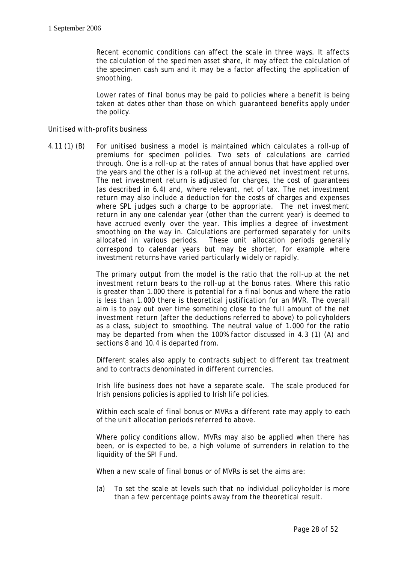Recent economic conditions can affect the scale in three ways. It affects the calculation of the *specimen asset share*, it may affect the calculation of the specimen cash sum and it may be a factor affecting the application of *smoothing*.

Lower rates of *final bonus* may be paid to policies where a benefit is being taken at dates other than those on which *guaranteed benefits* apply under the policy.

#### *Unitised with-profits business*

4.11 (1) (B) For *unitised business* a model is maintained which calculates a roll-up of *premiums* for *specimen policies*. Two sets of calculations are carried through. One is a roll-up at the rates of *annual bonus* that have applied over the years and the other is a roll-up at the achieved *net investment returns*. The *net investment return* is adjusted for charges, the cost of guarantees (as described in 6.4) and, where relevant, net of tax. The *net investment return* may also include a deduction for the costs of charges and expenses where *SPL* judges such a charge to be appropriate. The *net investment return* in any one calendar year (other than the current year) is deemed to have accrued evenly over the year. This implies a degree of investment *smoothing* on the way in. Calculations are performed separately for *units* allocated in various periods. These *unit* allocation periods generally correspond to calendar years but may be shorter, for example where investment returns have varied particularly widely or rapidly.

> The primary output from the model is the ratio that the roll-up at the *net investment return* bears to the roll-up at the bonus rates. Where this ratio is greater than 1.000 there is potential for a *final bonus* and where the ratio is less than 1.000 there is theoretical justification for an *MVR*. The overall aim is to pay out over time something close to the full amount of the *net investment return* (after the deductions referred to above) to policyholders as a class, subject to *smoothing*. The neutral value of 1.000 for the ratio may be departed from when the 100% factor discussed in 4.3 (1) (A) and sections 8 and 10.4 is departed from.

> Different scales also apply to contracts subject to different tax treatment and to contracts denominated in different currencies.

> Irish life business does not have a separate scale. The scale produced for Irish pensions policies is applied to Irish life policies.

> Within each scale of *final bonus* or *MVRs* a different rate may apply to each of the *unit* allocation periods referred to above.

> Where policy conditions allow, *MVRs* may also be applied when there has been, or is expected to be, a high volume of surrenders in relation to the liquidity of the *SPI Fund*.

When a new scale of *final bonus* or of *MVRs* is set the aims are:

(a) To set the scale at levels such that no individual policyholder is more than a few percentage points away from the theoretical result.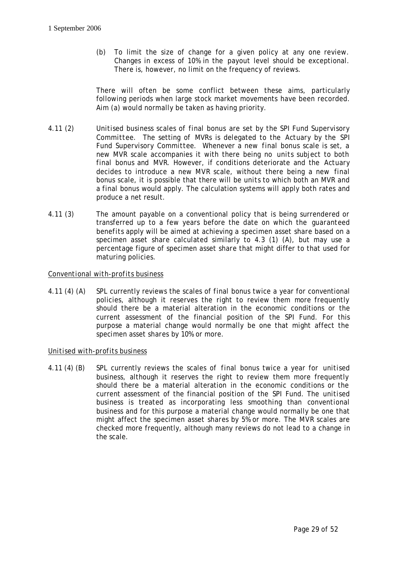(b) To limit the size of change for a given policy at any one review. Changes in excess of 10% in the *payout* level should be exceptional. There is, however, no limit on the frequency of reviews.

There will often be some conflict between these aims, particularly following periods when large stock market movements have been recorded. Aim (a) would normally be taken as having priority.

- 4.11 (2) *Unitised business* scales of *final bonus* are set by the *SPI Fund Supervisory Committee*. The setting of *MVRs* is delegated to the *Actuary* by the *SPI Fund Supervisory Committee.* Whenever a new *final bonus* scale is set, a new *MVR* scale accompanies it with there being no *units* subject to both *final bonus* and *MVR*. However, if conditions deteriorate and the *Actuary*  decides to introduce a new *MVR* scale, without there being a new *final bonus* scale, it is possible that there will be *units* to which both an *MVR* and a *final bonus* would apply. The calculation systems will apply both rates and produce a net result.
- 4.11 (3) The amount payable on a conventional policy that is being surrendered or transferred up to a few years before the date on which the *guaranteed benefits* apply will be aimed at achieving a *specimen asset share* based on a *specimen asset share* calculated similarly to 4.3 (1) (A), but may use a percentage figure of *specimen asset share* that might differ to that used for maturing policies.

## *Conventional with-profits business*

4.11 (4) (A) *SPL* currently reviews the scales of *final bonus* twice a year for conventional policies, although it reserves the right to review them more frequently should there be a material alteration in the economic conditions or the current assessment of the financial position of the *SPI Fund*. For this purpose a material change would normally be one that might affect the *specimen asset shares* by 10% or more.

## *Unitised with-profits business*

4.11 (4) (B) *SPL* currently reviews the scales of *final bonus* twice a year for *unitised business*, although it reserves the right to review them more frequently should there be a material alteration in the economic conditions or the current assessment of the financial position of the *SPI Fund*. The *unitised business* is treated as incorporating less *smoothing* than *conventional business* and for this purpose a material change would normally be one that might affect the *specimen asset shares* by 5% or more. The *MVR* scales are checked more frequently, although many reviews do not lead to a change in the scale.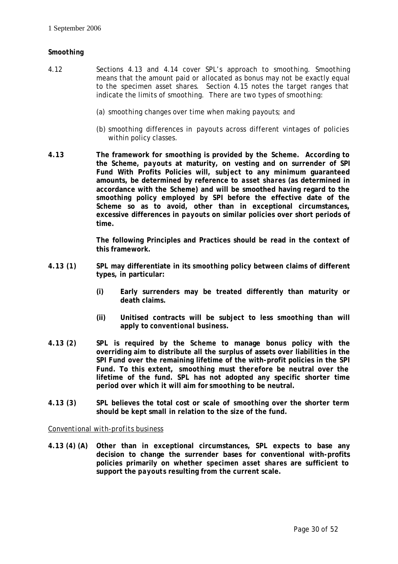## *Smoothing*

- 4.12 Sections 4.13 and 4.14 cover *SPL*'s approach to *smoothing*. *Smoothing* means that the amount paid or allocated as bonus may not be exactly equal to the *specimen asset shares*. Section 4.15 notes the target ranges that indicate the limits of *smoothing*. There are two types of *smoothing*:
	- (a) *smoothing* changes over time when making *payouts*; and
	- (b) *smoothing* differences in *payouts* across different vintages of policies within policy classes.
- **4.13 The framework for** *smoothing* **is provided by the** *Scheme***. According to the** *Scheme***,** *payouts* **at maturity, on vesting and on surrender of** *SPI Fund* **With Profits Policies will, subject to any minimum guaranteed amounts, be determined by reference to** *asset shares* **(as determined in accordance with the** *Scheme***) and will be smoothed having regard to the**  *smoothing* **policy employed by** *SPI* **before the effective date of the** *Scheme* **so as to avoid, other than in exceptional circumstances, excessive differences in** *payouts* **on similar policies over short periods of time.**

**The following Principles and Practices should be read in the context of this framework.**

- **4.13 (1)** *SPL* **may differentiate in its** *smoothing* **policy between claims of different types, in particular:**
	- **(i) Early surrenders may be treated differently than maturity or death claims.**
	- **(ii) Unitised contracts will be subject to less** *smoothing* **than will apply to** *conventional business***.**
- **4.13 (2)** *SPL* **is required by the** *Scheme* **to manage bonus policy with the overriding aim to distribute all the surplus of assets over liabilities in the**  *SPI Fund* **over the remaining lifetime of the with-profit policies in the** *SPI Fund***. To this extent,** *smoothing* **must therefore be neutral over the lifetime of the fund.** *SPL* **has not adopted any specific shorter time period over which it will aim for** *smoothing* **to be neutral.**
- **4.13 (3)** *SPL* **believes the total cost or scale of** *smoothing* **over the shorter term should be kept small in relation to the size of the fund.**

## *Conventional with-profits business*

**4.13 (4) (A) Other than in exceptional circumstances,** *SPL* **expects to base any decision to change the surrender bases for conventional with-profits policies primarily on whether** *specimen asset shares* **are sufficient to support the** *payouts* **resulting from the current scale.**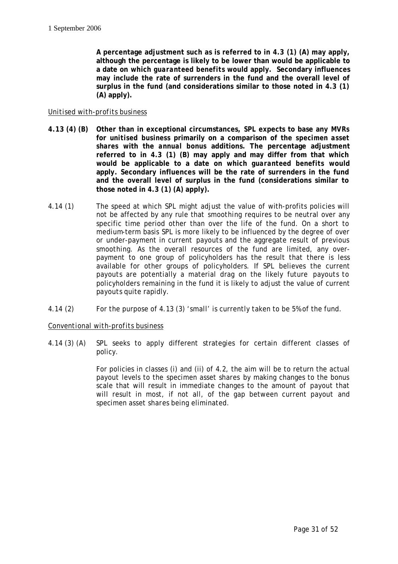**A percentage adjustment such as is referred to in 4.3 (1) (A) may apply, although the percentage is likely to be lower than would be applicable to a date on which** *guaranteed benefits* **would apply. Secondary influences may include the rate of surrenders in the fund and the overall level of surplus in the fund (and considerations similar to those noted in 4.3 (1) (A) apply).**

## *Unitised with-profits business*

- **4.13 (4) (B) Other than in exceptional circumstances,** *SPL* **expects to base any** *MVRs* **for** *unitised business* **primarily on a comparison of the** *specimen asset shares* **with the** *annual bonus* **additions. The percentage adjustment referred to in 4.3 (1) (B) may apply and may differ from that which would be applicable to a date on which** *guaranteed benefits* **would apply. Secondary influences will be the rate of surrenders in the fund and the overall level of surplus in the fund (considerations similar to those noted in 4.3 (1) (A) apply).**
- 4.14 (1) The speed at which *SPL* might adjust the value of with-profits policies will not be affected by any rule that *smoothing* requires to be neutral over any specific time period other than over the life of the fund. On a short to medium-term basis *SPL* is more likely to be influenced by the degree of over or under-payment in current *payouts* and the aggregate result of previous *smoothing*. As the overall resources of the fund are limited, any overpayment to one group of policyholders has the result that there is less available for other groups of policyholders. If *SPL* believes the current *payouts* are potentially a material drag on the likely future *payouts* to policyholders remaining in the fund it is likely to adjust the value of current *payouts* quite rapidly.
- 4.14 (2) For the purpose of 4.13 (3) 'small' is currently taken to be 5% of the fund.

*Conventional with-profits business* 

4.14 (3) (A) *SPL* seeks to apply different strategies for certain different classes of policy.

> For policies in classes (i) and (ii) of 4.2, the aim will be to return the actual *payout* levels to the *specimen asset shares* by making changes to the bonus scale that will result in immediate changes to the amount of *payout* that will result in most, if not all, of the gap between current *payout* and *specimen asset shares* being eliminated.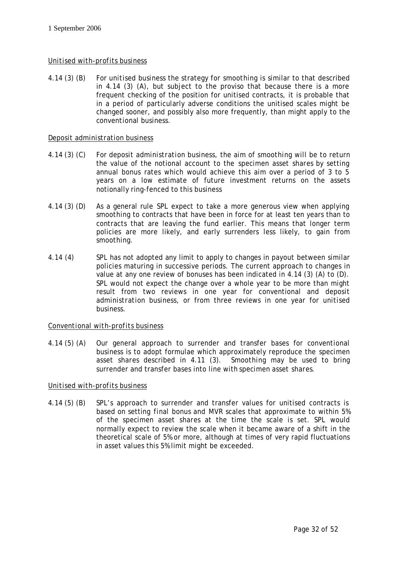## *Unitised with-profits business*

4.14 (3) (B) For *unitised business* the strategy for *smoothing* is similar to that described in 4.14 (3) (A), but subject to the proviso that because there is a more frequent checking of the position for unitised contracts, it is probable that in a period of particularly adverse conditions the unitised scales might be changed sooner, and possibly also more frequently, than might apply to the *conventional business*.

## *Deposit administration business*

- 4.14 (3) (C) For *deposit administration business*, the aim of *smoothing* will be to return the value of the notional account to the *specimen asset shares* by setting *annual bonus* rates which would achieve this aim over a period of 3 to 5 years on a low estimate of future investment returns on the assets notionally ring-fenced to this business
- 4.14 (3) (D) As a general rule *SPL* expect to take a more generous view when applying *smoothing* to contracts that have been in force for at least ten years than to contracts that are leaving the fund earlier. This means that longer term policies are more likely, and early surrenders less likely, to gain from *smoothing*.
- 4.14 (4) *SPL* has not adopted any limit to apply to changes in *payout* between similar policies maturing in successive periods. The current approach to changes in value at any one review of bonuses has been indicated in 4.14 (3) (A) to (D). *SPL* would not expect the change over a whole year to be more than might result from two reviews in one year for conventional and *deposit administration business*, or from three reviews in one year for *unitised business*.

## *Conventional with-profits business*

4.14 (5) (A) Our general approach to surrender and transfer bases for *conventional business* is to adopt formulae which approximately reproduce the *specimen asset shares* described in 4.11 (3). *Smoothing* may be used to bring surrender and transfer bases into line with *specimen asset shares*.

## *Unitised with-profits business*

4.14 (5) (B) *SPL*'s approach to surrender and transfer values for unitised contracts is based on setting *final bonus* and *MVR* scales that approximate to within 5% of the *specimen asset shares* at the time the scale is set. *SPL* would normally expect to review the scale when it became aware of a shift in the theoretical scale of 5% or more, although at times of very rapid fluctuations in asset values this 5% limit might be exceeded.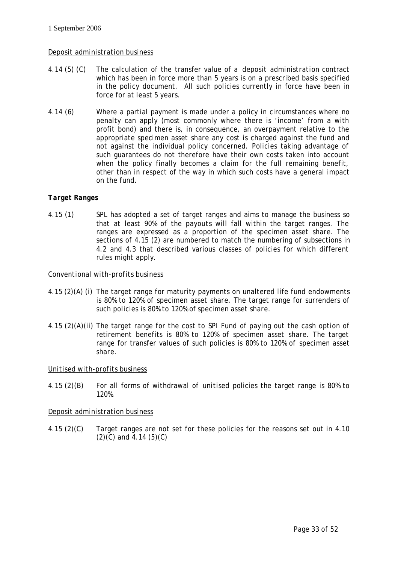## *Deposit administration business*

- 4.14 (5) (C) The calculation of the transfer value of a *deposit administration* contract which has been in force more than 5 years is on a prescribed basis specified in the policy document. All such policies currently in force have been in force for at least 5 years.
- 4.14 (6) Where a partial payment is made under a policy in circumstances where no penalty can apply (most commonly where there is 'income' from a with profit bond) and there is, in consequence, an overpayment relative to the appropriate *specimen asset share* any cost is charged against the fund and not against the individual policy concerned. Policies taking advantage of such guarantees do not therefore have their own costs taken into account when the policy finally becomes a claim for the full remaining benefit, other than in respect of the way in which such costs have a general impact on the fund.

## *Target Ranges*

4.15 (1) *SPL* has adopted a set of target ranges and aims to manage the business so that at least 90% of the *payouts* will fall within the target ranges. The ranges are expressed as a proportion of the *specimen asset share*. The sections of 4.15 (2) are numbered to match the numbering of subsections in 4.2 and 4.3 that described various classes of policies for which different rules might apply.

## *Conventional with-profits business*

- 4.15 (2)(A) (i) The target range for maturity payments on unaltered life fund endowments is 80% to 120% of *specimen asset share*. The target range for surrenders of such policies is 80% to 120% of *specimen asset share*.
- 4.15 (2)(A)(ii) The target range for the cost to *SPI Fund* of paying out the cash option of retirement benefits is 80% to 120% of *specimen asset share*. The target range for transfer values of such policies is 80% to 120% of *specimen asset share*.

## *Unitised with-profits business*

4.15 (2)(B) For all forms of withdrawal of *unitised* policies the target range is 80% to 120%.

## *Deposit administration business*

4.15 (2)(C) Target ranges are not set for these policies for the reasons set out in 4.10  $(2)(C)$  and 4.14  $(5)(C)$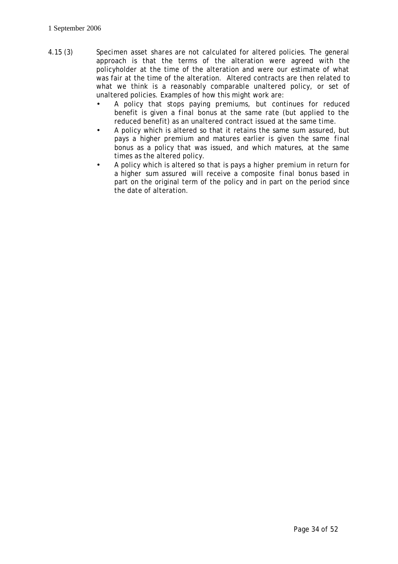- 4.15 (3) *Specimen asset shares* are not calculated for altered policies. The general approach is that the terms of the alteration were agreed with the policyholder at the time of the alteration and were our estimate of what was fair at the time of the alteration. Altered contracts are then related to what we think is a reasonably comparable unaltered policy, or set of unaltered policies. Examples of how this might work are:
	- A policy that stops paying *premiums*, but continues for reduced benefit is given a *final bonus* at the same rate (but applied to the reduced benefit) as an unaltered contract issued at the same time.
	- A policy which is altered so that it retains the same *sum assured*, but pays a higher *premium* and matures earlier is given the same *final bonus* as a policy that was issued, and which matures, at the same times as the altered policy.
	- A policy which is altered so that is pays a higher *premium* in return for a higher *sum assured* will receive a composite *final bonus* based in part on the original term of the policy and in part on the period since the date of alteration.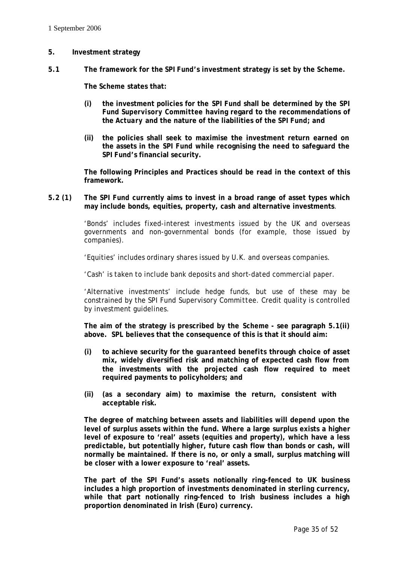#### **5. Investment strategy**

**5.1 The framework for the** *SPI Fund***'s investment strategy is set by the** *Scheme***.** 

**The** *Scheme* **states that:** 

- **(i) the investment policies for the** *SPI Fund* **shall be determined by the** *SPI Fund Supervisory Committee* **having regard to the recommendations of the** *Actuary* **and the nature of the liabilities of the** *SPI Fund***; and**
- **(ii) the policies shall seek to maximise the investment return earned on the assets in the** *SPI Fund* **while recognising the need to safeguard the**  *SPI Fund***'s financial security.**

**The following Principles and Practices should be read in the context of this framework.**

## **5.2 (1) The** *SPI Fund* **currently aims to invest in a broad range of asset types which may include bonds, equities, property, cash and alternative investments**.

'Bonds' includes fixed-interest investments issued by the UK and overseas governments and non-governmental bonds (for example, those issued by companies).

'Equities' includes ordinary shares issued by U.K. and overseas companies.

'Cash' is taken to include bank deposits and short-dated commercial paper.

'Alternative investments' include hedge funds, but use of these may be constrained by the *SPI Fund Supervisory Committee*. Credit quality is controlled by investment guidelines.

**The aim of the strategy is prescribed by the** *Scheme* **- see paragraph 5.1(ii) above.** *SPL* **believes that the consequence of this is that it should aim:**

- **(i) to achieve security for the** *guaranteed benefits* **through choice of asset mix, widely diversified risk and matching of expected cash flow from the investments with the projected cash flow required to meet required payments to policyholders; and**
- **(ii) (as a secondary aim) to maximise the return, consistent with acceptable risk.**

**The degree of matching between assets and liabilities will depend upon the level of surplus assets within the fund. Where a large surplus exists a higher level of exposure to 'real' assets (equities and property), which have a less predictable, but potentially higher, future cash flow than bonds or cash, will normally be maintained. If there is no, or only a small, surplus matching will be closer with a lower exposure to 'real' assets.**

**The part of the** *SPI Fund***'s assets notionally ring-fenced to UK business includes a high proportion of investments denominated in sterling currency, while that part notionally ring-fenced to Irish business includes a high proportion denominated in Irish (Euro) currency.**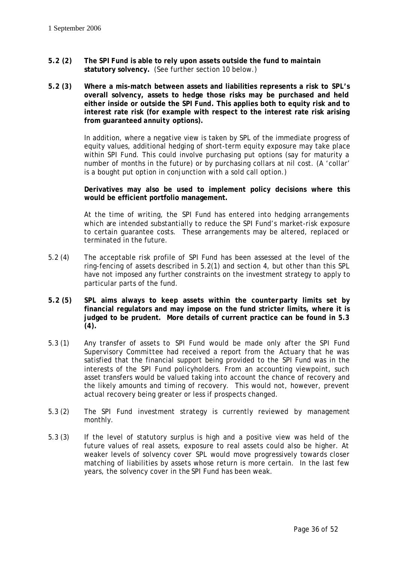- **5.2 (2) The** *SPI Fund* **is able to rely upon assets outside the fund to maintain statutory solvency.** (See further section 10 below.)
- **5.2 (3) Where a mis-match between assets and liabilities represents a risk to** *SPL***'s overall solvency, assets to hedge those risks may be purchased and held either inside or outside the** *SPI Fund***. This applies both to equity risk and to interest rate risk (for example with respect to the interest rate risk arising from guaranteed** *annuity* **options).**

In addition, where a negative view is taken by *SPL* of the immediate progress of equity values, additional hedging of short-term equity exposure may take place within *SPI Fund*. This could involve purchasing put options (say for maturity a number of months in the future) or by purchasing collars at nil cost. (A 'collar' is a bought put option in conjunction with a sold call option.)

## **Derivatives may also be used to implement policy decisions where this would be efficient portfolio management.**

At the time of writing, the *SPI Fund* has entered into hedging arrangements which are intended substantially to reduce the *SPI Fund*'s market-risk exposure to certain guarantee costs. These arrangements may be altered, replaced or terminated in the future.

- 5.2 (4) The acceptable risk profile of *SPI Fund* has been assessed at the level of the ring-fencing of assets described in 5.2(1) and section 4, but other than this *SPL* have not imposed any further constraints on the investment strategy to apply to particular parts of the fund.
- **5.2 (5)** *SPL* **aims always to keep assets within the counterparty limits set by financial regulators and may impose on the fund stricter limits, where it is judged to be prudent. More details of current practice can be found in 5.3 (4).**
- 5.3 (1) Any transfer of assets to *SPI Fund* would be made only after the *SPI Fund Supervisory Committee* had received a report from the *Actuary* that he was satisfied that the financial support being provided to the *SPI Fund* was in the interests of the *SPI Fund* policyholders. From an accounting viewpoint, such asset transfers would be valued taking into account the chance of recovery and the likely amounts and timing of recovery. This would not, however, prevent actual recovery being greater or less if prospects changed.
- 5.3 (2) The *SPI Fund* investment strategy is currently reviewed by management monthly.
- 5.3 (3) If the level of statutory surplus is high and a positive view was held of the future values of real assets, exposure to real assets could also be higher. At weaker levels of solvency cover *SPL* would move progressively towards closer matching of liabilities by assets whose return is more certain. In the last few years, the solvency cover in the *SPI Fund* has been weak.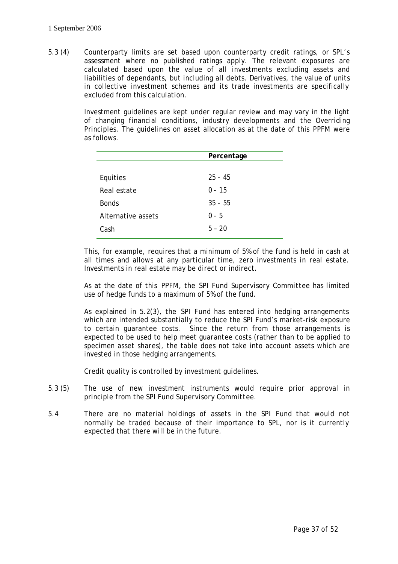5.3 (4) Counterparty limits are set based upon counterparty credit ratings, or *SPL*'s assessment where no published ratings apply. The relevant exposures are calculated based upon the value of all investments excluding assets and liabilities of dependants, but including all debts. Derivatives, the value of units in collective investment schemes and its trade investments are specifically excluded from this calculation.

> Investment guidelines are kept under regular review and may vary in the light of changing financial conditions, industry developments and the Overriding Principles. The guidelines on asset allocation as at the date of this *PPFM* were as follows.

|                    | Percentage |
|--------------------|------------|
|                    |            |
| Equities           | $25 - 45$  |
| Real estate        | $0 - 15$   |
| <b>Bonds</b>       | $35 - 55$  |
| Alternative assets | $0 - 5$    |
| Cash               | $5 - 20$   |

This, for example, requires that a minimum of 5% of the fund is held in cash at all times and allows at any particular time, zero investments in real estate. Investments in real estate may be direct or indirect.

As at the date of this *PPFM*, the *SPI Fund Supervisory Committee* has limited use of hedge funds to a maximum of 5% of the fund.

As explained in 5.2(3), the *SPI Fund* has entered into hedging arrangements which are intended substantially to reduce the *SPI Fund*'s market-risk exposure to certain guarantee costs. Since the return from those arrangements is expected to be used to help meet guarantee costs (rather than to be applied to *specimen asset shares*), the table does not take into account assets which are invested in those hedging arrangements.

Credit quality is controlled by investment guidelines.

- 5.3 (5) The use of new investment instruments would require prior approval in principle from the *SPI Fund Supervisory Committee*.
- 5.4 There are no material holdings of assets in the *SPI Fund* that would not normally be traded because of their importance to *SPL*, nor is it currently expected that there will be in the future.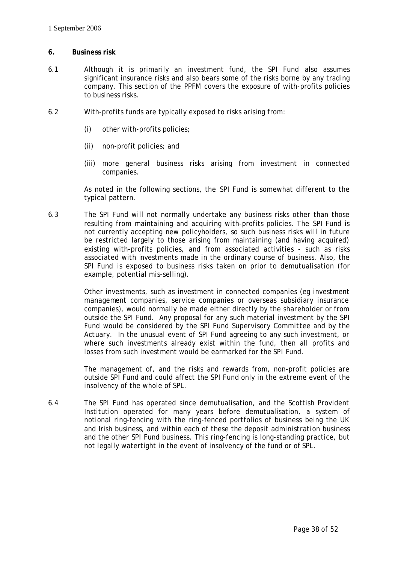## **6. Business risk**

- 6.1 Although it is primarily an investment fund, the *SPI Fund* also assumes significant insurance risks and also bears some of the risks borne by any trading company. This section of the *PPFM* covers the exposure of with-profits policies to business risks.
- 6.2 With-profits funds are typically exposed to risks arising from:
	- (i) other with-profits policies;
	- (ii) non-profit policies; and
	- (iii) more general business risks arising from investment in connected companies.

As noted in the following sections, the *SPI Fund* is somewhat different to the typical pattern.

6.3 The *SPI Fund* will not normally undertake any business risks other than those resulting from maintaining and acquiring with-profits policies. The *SPI Fund* is not currently accepting new policyholders, so such business risks will in future be restricted largely to those arising from maintaining (and having acquired) existing with-profits policies, and from associated activities - such as risks associated with investments made in the ordinary course of business. Also, the *SPI Fund* is exposed to business risks taken on prior to demutualisation (for example, potential mis-selling).

> Other investments, such as investment in connected companies (eg investment management companies, service companies or overseas subsidiary insurance companies), would normally be made either directly by the *shareholder* or from outside the *SPI Fund*. Any proposal for any such material investment by the *SPI Fund* would be considered by the *SPI Fund Supervisory Committee* and by the *Actuary*. In the unusual event of *SPI Fund* agreeing to any such investment, or where such investments already exist within the fund, then all profits and losses from such investment would be earmarked for the *SPI Fund*.

> The management of, and the risks and rewards from, non-profit policies are outside *SPI Fund* and could affect the *SPI Fund* only in the extreme event of the insolvency of the whole of *SPL*.

6.4 The *SPI Fund* has operated since demutualisation, and the Scottish Provident Institution operated for many years before demutualisation, a system of notional ring-fencing with the ring-fenced portfolios of business being the UK and Irish business, and within each of these the *deposit administration business* and the other *SPI Fund* business. This ring-fencing is long-standing practice, but not legally watertight in the event of insolvency of the fund or of *SPL*.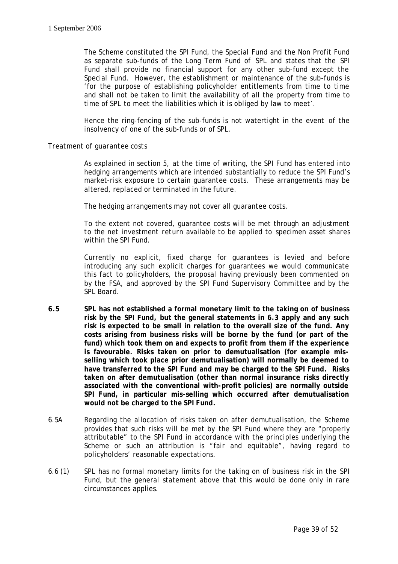The *Scheme* constituted the *SPI Fund*, the *Special Fund* and the Non Profit Fund as separate sub-funds of the Long Term Fund of *SPL* and states that the *SPI Fund* shall provide no financial support for any other sub-fund except the *Special Fund*. However, the establishment or maintenance of the sub-funds is 'for the purpose of establishing policyholder entitlements from time to time and shall not be taken to limit the availability of all the property from time to time of *SPL* to meet the liabilities which it is obliged by law to meet'.

Hence the ring-fencing of the sub-funds is not watertight in the event of the insolvency of one of the sub-funds or of *SPL*.

## *Treatment of guarantee costs*

As explained in section 5, at the time of writing, the *SPI Fund* has entered into hedging arrangements which are intended substantially to reduce the *SPI Fund*'s market-risk exposure to certain guarantee costs. These arrangements may be altered, replaced or terminated in the future.

The hedging arrangements may not cover all guarantee costs.

To the extent not covered, guarantee costs will be met through an adjustment to the *net investment return* available to be applied to *specimen asset shares* within the *SPI Fund*.

Currently no explicit, fixed charge for guarantees is levied and before introducing any such explicit charges for guarantees we would communicate this fact to policyholders, the proposal having previously been commented on by the *FSA*, and approved by the *SPI Fund Supervisory Committee* and by the *SPL Board.*

- **6.5** *SPL* **has not established a formal monetary limit to the taking on of business risk by the** *SPI Fund***, but the general statements in 6.3 apply and any such risk is expected to be small in relation to the overall size of the fund. Any costs arising from business risks will be borne by the fund (or part of the fund) which took them on and expects to profit from them if the experience is favourable. Risks taken on prior to demutualisation (for example misselling which took place prior demutualisation) will normally be deemed to have transferred to the** *SPI Fund* **and may be charged to the** *SPI Fund***. Risks taken on after demutualisation (other than normal insurance risks directly associated with the conventional with-profit policies) are normally outside**  *SPI Fund***, in particular mis-selling which occurred after demutualisation would not be charged to the** *SPI Fund***.**
- 6.5A Regarding the allocation of risks taken on after demutualisation, the *Scheme* provides that such risks will be met by the *SPI Fund* where they are "properly attributable" to the *SPI Fund* in accordance with the principles underlying the *Scheme* or such an attribution is "fair and equitable", having regard to policyholders' reasonable expectations.
- 6.6 (1) *SPL* has no formal monetary limits for the taking on of business risk in the *SPI Fund*, but the general statement above that this would be done only in rare circumstances applies.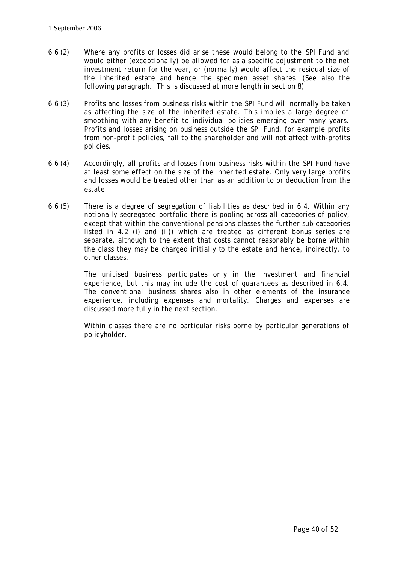- 6.6 (2) Where any profits or losses did arise these would belong to the *SPI Fund* and would either (exceptionally) be allowed for as a specific adjustment to the *net investment return* for the year, or (normally) would affect the residual size of the inherited estate and hence the *specimen asset shares*. (See also the following paragraph. This is discussed at more length in section 8)
- 6.6 (3) Profits and losses from business risks within the *SPI Fund* will normally be taken as affecting the size of the inherited estate. This implies a large degree of *smoothing* with any benefit to individual policies emerging over many years. Profits and losses arising on business outside the *SPI Fund*, for example profits from non-profit policies, fall to the *shareholder* and will not affect with-profits policies.
- 6.6 (4) Accordingly, all profits and losses from business risks within the *SPI Fund* have at least some effect on the size of the inherited estate. Only very large profits and losses would be treated other than as an addition to or deduction from the estate.
- 6.6 (5) There is a degree of segregation of liabilities as described in 6.4. Within any notionally segregated portfolio there is pooling across all categories of policy, except that within the conventional pensions classes the further sub-categories listed in 4.2 (i) and (ii)) which are treated as different bonus series are separate, although to the extent that costs cannot reasonably be borne within the class they may be charged initially to the estate and hence, indirectly, to other classes.

The *unitised business* participates only in the investment and financial experience, but this may include the cost of guarantees as described in 6.4. The *conventional business* shares also in other elements of the insurance experience, including expenses and mortality. Charges and expenses are discussed more fully in the next section.

Within classes there are no particular risks borne by particular generations of policyholder.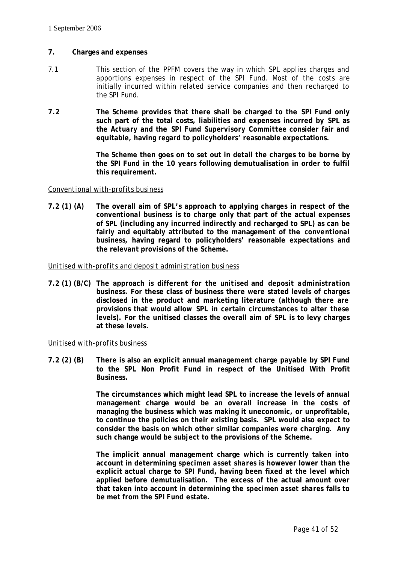## **7. Charges and expenses**

- 7.1 This section of the *PPFM* covers the way in which *SPL* applies charges and apportions expenses in respect of the *SPI Fund*. Most of the costs are initially incurred within related service companies and then recharged to the *SPI Fund*.
- **7.2 The** *Scheme* **provides that there shall be charged to the** *SPI Fund* **only such part of the total costs, liabilities and expenses incurred by** *SPL* **as the** *Actuary* **and the** *SPI Fund Supervisory Committee* **consider fair and equitable, having regard to policyholders' reasonable expectations.**

**The** *Scheme* **then goes on to set out in detail the charges to be borne by the** *SPI Fund* **in the 10 years following demutualisation in order to fulfil this requirement.** 

## *Conventional with-profits business*

**7.2 (1) (A) The overall aim of** *SPL***'s approach to applying charges in respect of the**  *conventional business* **is to charge only that part of the actual expenses of** *SPL* **(including any incurred indirectly and recharged to** *SPL***) as can be fairly and equitably attributed to the management of the** *conventional business***, having regard to policyholders' reasonable expectations and the relevant provisions of the** *Scheme***.**

#### *Unitised with-profits and deposit administration business*

**7.2 (1) (B/C) The approach is different for the** *unitised* **and** *deposit administration business***. For these class of business there were stated levels of charges disclosed in the product and marketing literature (although there are provisions that would allow** *SPL* **in certain circumstances to alter these levels). For the unitised classes the overall aim of** *SPL* **is to levy charges at these levels.**

## *Unitised with-profits business*

**7.2 (2) (B) There is also an explicit annual management charge payable by** *SPI Fund* **to the** *SPL* **Non Profit Fund in respect of the Unitised With Profit Business.**

> **The circumstances which might lead** *SPL* **to increase the levels of annual management charge would be an overall increase in the costs of managing the business which was making it uneconomic, or unprofitable, to continue the policies on their existing basis.** *SPL* **would also expect to consider the basis on which other similar companies were charging. Any such change would be subject to the provisions of the** *Scheme***.**

> **The implicit annual management charge which is currently taken into account in determining** *specimen asset shares* **is however lower than the explicit actual charge to** *SPI Fund***, having been fixed at the level which applied before demutualisation. The excess of the actual amount over that taken into account in determining the** *specimen asset shares* **falls to be met from the** *SPI Fund* **estate.**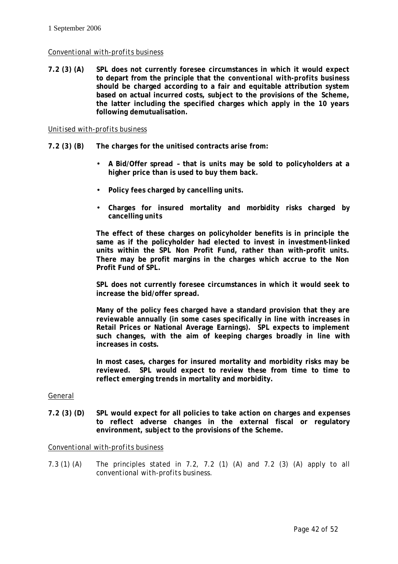## *Conventional with-profits business*

**7.2 (3) (A)** *SPL* **does not currently foresee circumstances in which it would expect to depart from the principle that the** *conventional with-profits business* **should be charged according to a fair and equitable attribution system based on actual incurred costs, subject to the provisions of the** *Scheme***, the latter including the specified charges which apply in the 10 years following demutualisation.** 

#### *Unitised with-profits business*

- **7.2 (3) (B) The charges for the unitised contracts arise from:** 
	- **A Bid/Offer spread that is** *units* **may be sold to policyholders at a higher price than is used to buy them back.**
	- **Policy fees charged by cancelling** *units***.**
	- **Charges for insured mortality and morbidity risks charged by cancelling** *units*

**The effect of these charges on policyholder benefits is in principle the same as if the policyholder had elected to invest in investment-linked units within the** *SPL* **Non Profit Fund, rather than with-profit** *units***. There may be profit margins in the charges which accrue to the Non Profit Fund of** *SPL***.**

*SPL* **does not currently foresee circumstances in which it would seek to increase the bid/offer spread.** 

**Many of the policy fees charged have a standard provision that they are reviewable annually (in some cases specifically in line with increases in Retail Prices or National Average Earnings).** *SPL* **expects to implement such changes, with the aim of keeping charges broadly in line with increases in costs.** 

**In most cases, charges for insured mortality and morbidity risks may be reviewed.** *SPL* **would expect to review these from time to time to reflect emerging trends in mortality and morbidity.**

#### General

**7.2 (3) (D)** *SPL* **would expect for all policies to take action on charges and expenses to reflect adverse changes in the external fiscal or regulatory environment, subject to the provisions of the** *Scheme***.**

#### *Conventional with-profits business*

7.3 (1) (A) The principles stated in 7.2, 7.2 (1) (A) and 7.2 (3) (A) apply to all *conventional with-profits business.*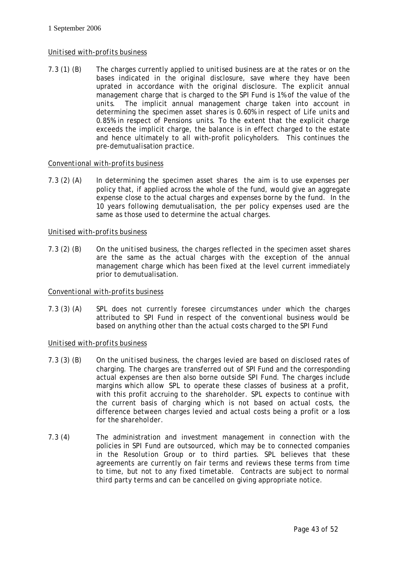## *Unitised with-profits business*

7.3 (1) (B) The charges currently applied to *unitised business* are at the rates or on the bases indicated in the original disclosure, save where they have been uprated in accordance with the original disclosure. The explicit annual management charge that is charged to the *SPI Fund* is 1% of the value of the *units*. The implicit annual management charge taken into account in determining the *specimen asset shares* is 0.60% in respect of Life *units* and 0.85% in respect of Pensions *units*. To the extent that the explicit charge exceeds the implicit charge, the balance is in effect charged to the estate and hence ultimately to all with-profit policyholders. This continues the pre-demutualisation practice.

## *Conventional with-profits business*

7.3 (2) (A) In determining the *specimen asset shares* the aim is to use expenses per policy that, if applied across the whole of the fund, would give an aggregate expense close to the actual charges and expenses borne by the fund. In the 10 years following demutualisation, the per policy expenses used are the same as those used to determine the actual charges.

## *Unitised with-profits business*

7.3 (2) (B) On the *unitised business*, the charges reflected in the *specimen asset shares* are the same as the actual charges with the exception of the annual management charge which has been fixed at the level current immediately prior to demutualisation.

## *Conventional with-profits business*

7.3 (3) (A) *SPL* does not currently foresee circumstances under which the charges attributed to *SPI Fund* in respect of the *conventional business* would be based on anything other than the actual costs charged to the *SPI Fund*

## *Unitised with-profits business*

- 7.3 (3) (B) On the *unitised business*, the charges levied are based on disclosed rates of charging. The charges are transferred out of *SPI Fund* and the corresponding actual expenses are then also borne outside *SPI Fund*. The charges include margins which allow *SPL* to operate these classes of business at a profit, with this profit accruing to the *shareholder*. *SPL* expects to continue with the current basis of charging which is not based on actual costs, the difference between charges levied and actual costs being a profit or a loss for the *shareholder*.
- 7.3 (4) The administration and investment management in connection with the policies in *SPI Fund* are outsourced, which may be to connected companies in the *Resolution* Group or to third parties. *SPL* believes that these agreements are currently on fair terms and reviews these terms from time to time, but not to any fixed timetable. Contracts are subject to normal third party terms and can be cancelled on giving appropriate notice.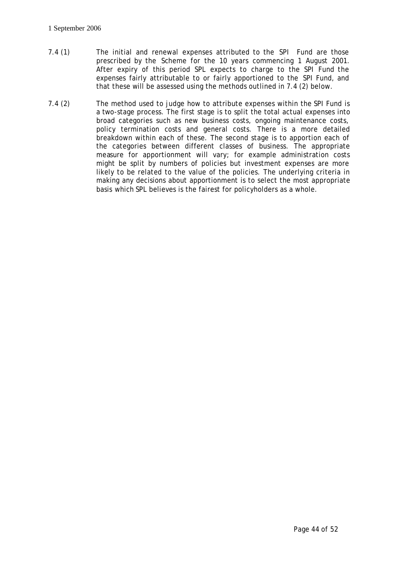- 7.4 (1) The initial and renewal expenses attributed to the *SPI* Fund are those prescribed by the *Scheme* for the 10 years commencing 1 August 2001. After expiry of this period *SPL* expects to charge to the *SPI Fund* the expenses fairly attributable to or fairly apportioned to the *SPI Fund*, and that these will be assessed using the methods outlined in 7.4 (2) below.
- 7.4 (2) The method used to judge how to attribute expenses within the *SPI Fund* is a two-stage process. The first stage is to split the total actual expenses into broad categories such as new business costs, ongoing maintenance costs, policy termination costs and general costs. There is a more detailed breakdown within each of these. The second stage is to apportion each of the categories between different classes of business. The appropriate measure for apportionment will vary; for example administration costs might be split by numbers of policies but investment expenses are more likely to be related to the value of the policies. The underlying criteria in making any decisions about apportionment is to select the most appropriate basis which *SPL* believes is the fairest for policyholders as a whole.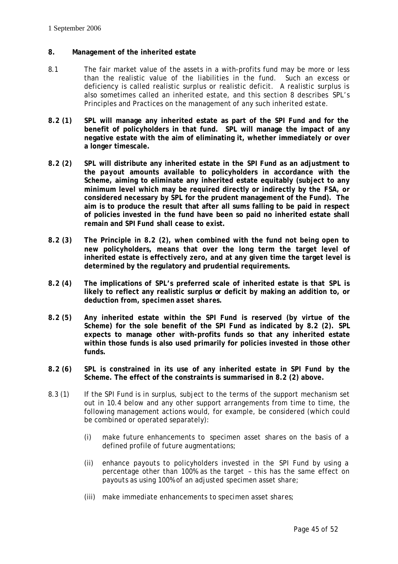## **8. Management of the inherited estate**

- 8.1 The fair market value of the assets in a with-profits fund may be more or less than the realistic value of the liabilities in the fund. Such an excess or deficiency is called realistic surplus or realistic deficit. A realistic surplus is also sometimes called an inherited estate, and this section 8 describes *SPL*'s Principles and Practices on the management of any such inherited estate.
- **8.2 (1)** *SPL* **will manage any inherited estate as part of the** *SPI Fund* **and for the benefit of policyholders in that fund.** *SPL* **will manage the impact of any negative estate with the aim of eliminating it, whether immediately or over a longer timescale.**
- **8.2 (2)** *SPL* **will distribute any inherited estate in the** *SPI Fund* **as an adjustment to the** *payout* **amounts available to policyholders in accordance with the** *Scheme***, aiming to eliminate any inherited estate equitably (subject to any minimum level which may be required directly or indirectly by the** *FSA***, or considered necessary by** *SPL* **for the prudent management of the Fund). The aim is to produce the result that after all sums falling to be paid in respect of policies invested in the fund have been so paid no inherited estate shall remain and** *SPI Fund* **shall cease to exist.**
- **8.2 (3) The Principle in 8.2 (2), when combined with the fund not being open to new policyholders, means that over the long term the target level of inherited estate is effectively zero, and at any given time the target level is determined by the regulatory and prudential requirements.**
- **8.2 (4) The implications of** *SPL***'s preferred scale of inherited estate is that** *SPL* **is likely to reflect any realistic surplus or deficit by making an addition to, or deduction from,** *specimen asset shares***.**
- **8.2 (5) Any inherited estate within the** *SPI Fund* **is reserved (by virtue of the** *Scheme***) for the sole benefit of the** *SPI Fund* **as indicated by 8.2 (2).** *SPL* **expects to manage other with-profits funds so that any inherited estate within those funds is also used primarily for policies invested in those other funds.**
- **8.2 (6)** *SPL* **is constrained in its use of any inherited estate in** *SPI Fund* **by the** *Scheme***. The effect of the constraints is summarised in 8.2 (2) above.**
- 8.3 (1) If the *SPI Fund* is in surplus, subject to the terms of the support mechanism set out in 10.4 below and any other support arrangements from time to time, the following management actions would, for example, be considered (which could be combined or operated separately):
	- (i) make future enhancements to *specimen asset shares* on the basis of a defined profile of future augmentations;
	- (ii) enhance *payouts* to policyholders invested in the *SPI Fund* by using a percentage other than 100% as the target – this has the same effect on *payouts* as using 100% of an adjusted *specimen asset share*;
	- (iii) make immediate enhancements to *specimen asset shares*;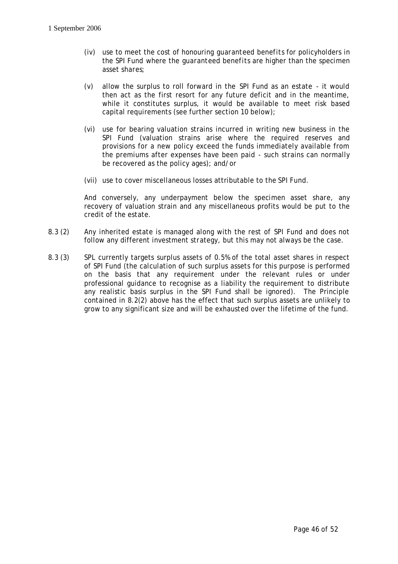- (iv) use to meet the cost of honouring *guaranteed benefits* for policyholders in the *SPI Fund* where the *guaranteed benefits* are higher than the *specimen asset shares*;
- (v) allow the surplus to roll forward in the *SPI Fund* as an estate it would then act as the first resort for any future deficit and in the meantime, while it constitutes surplus, it would be available to meet risk based capital requirements (see further section 10 below);
- (vi) use for bearing valuation strains incurred in writing new business in the *SPI Fund* (valuation strains arise where the required reserves and provisions for a new policy exceed the funds immediately available from the *premiums* after expenses have been paid - such strains can normally be recovered as the policy ages); and/or
- (vii) use to cover miscellaneous losses attributable to the *SPI Fund*.

And conversely, any underpayment below the *specimen asset share*, any recovery of valuation strain and any miscellaneous profits would be put to the credit of the estate.

- 8.3 (2) Any inherited estate is managed along with the rest of *SPI Fund* and does not follow any different investment strategy, but this may not always be the case.
- 8.3 (3) *SPL* currently targets surplus assets of 0.5% of the total asset shares in respect of *SPI Fund* (the calculation of such surplus assets for this purpose is performed on the basis that any requirement under the relevant rules or under professional guidance to recognise as a liability the requirement to distribute any realistic basis surplus in the *SPI Fund* shall be ignored). The Principle contained in 8.2(2) above has the effect that such surplus assets are unlikely to grow to any significant size and will be exhausted over the lifetime of the fund.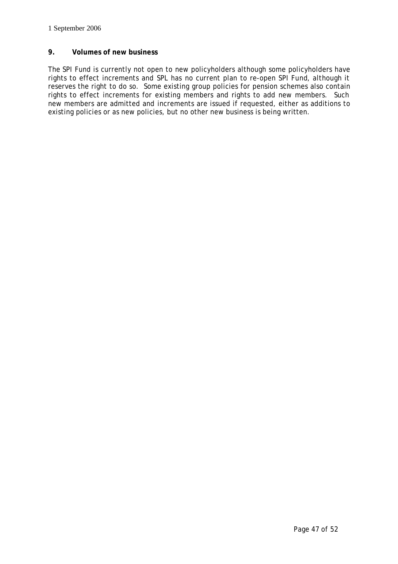## **9. Volumes of new business**

The *SPI Fund* is currently not open to new policyholders although some policyholders have rights to effect increments and *SPL* has no current plan to re-open *SPI Fund*, although it reserves the right to do so. Some existing group policies for pension schemes also contain rights to effect increments for existing members and rights to add new members. Such new members are admitted and increments are issued if requested, either as additions to existing policies or as new policies, but no other new business is being written.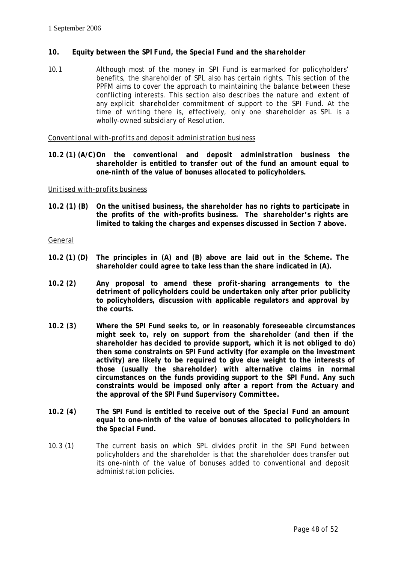## **10. Equity between the** *SPI Fund***, the** *Special Fund* **and the** *shareholder*

10.1 Although most of the money in *SPI Fund* is earmarked for policyholders' benefits, the *shareholder* of *SPL* also has certain rights. This section of the *PPFM* aims to cover the approach to maintaining the balance between these conflicting interests. This section also describes the nature and extent of any explicit *shareholder* commitment of support to the *SPI Fund*. At the time of writing there is, effectively, only one *shareholder* as *SPL* is a wholly-owned subsidiary of *Resolution*.

*Conventional with-profits* and *deposit administration business*

**10.2 (1) (A/C)On the** *conventional* **and** *deposit administration business* **the** *shareholder* **is entitled to transfer out of the fund an amount equal to one-ninth of the value of bonuses allocated to policyholders.** 

## *Unitised with-profits business*

**10.2 (1) (B) On the** *unitised business***, the** *shareholder* **has no rights to participate in the profits of the with-profits business. The** *shareholder***'s rights are limited to taking the charges and expenses discussed in Section 7 above.** 

General

- **10.2 (1) (D) The principles in (A) and (B) above are laid out in the** *Scheme***. The**  *shareholder* **could agree to take less than the share indicated in (A).**
- **10.2 (2) Any proposal to amend these profit-sharing arrangements to the detriment of policyholders could be undertaken only after prior publicity to policyholders, discussion with applicable regulators and approval by the courts.**
- **10.2 (3) Where the** *SPI Fund* **seeks to, or in reasonably foreseeable circumstances might seek to, rely on support from the** *shareholder* **(and then if the**  *shareholder* **has decided to provide support, which it is not obliged to do) then some constraints on** *SPI Fund* **activity (for example on the investment activity) are likely to be required to give due weight to the interests of those (usually the** *shareholder***) with alternative claims in normal circumstances on the funds providing support to the** *SPI Fund***. Any such constraints would be imposed only after a report from the** *Actuary* **and the approval of the** *SPI Fund Supervisory Committee***.**
- **10.2 (4) The** *SPI Fund* **is entitled to receive out of the** *Special Fund* **an amount equal to one-ninth of the value of bonuses allocated to policyholders in the** *Special Fund***.**
- 10.3 (1) The current basis on which *SPL* divides profit in the *SPI Fund* between policyholders and the *shareholder* is that the *shareholder* does transfer out its one-ninth of the value of bonuses added to conventional and *deposit administration* policies.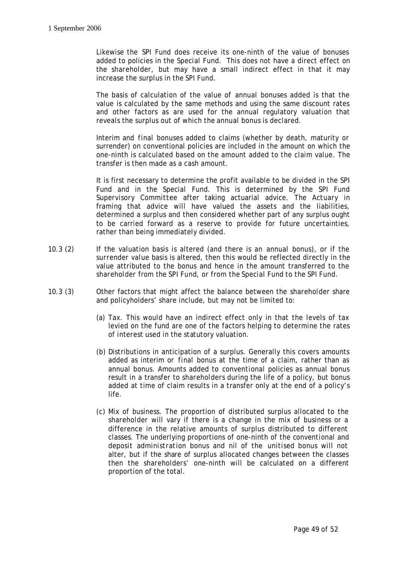Likewise the *SPI Fund* does receive its one-ninth of the value of bonuses added to policies in the *Special Fund*. This does not have a direct effect on the *shareholder*, but may have a small indirect effect in that it may increase the surplus in the *SPI Fund*.

The basis of calculation of the value of *annual bonuses* added is that the value is calculated by the same methods and using the same discount rates and other factors as are used for the annual regulatory valuation that reveals the surplus out of which the *annual bonus* is declared.

Interim and *final bonuses* added to claims (whether by death, maturity or surrender) on conventional policies are included in the amount on which the one-ninth is calculated based on the amount added to the claim value. The transfer is then made as a cash amount.

It is first necessary to determine the profit available to be divided in the *SPI Fund* and in the *Special Fund*. This is determined by the *SPI Fund Supervisory Committee* after taking actuarial advice. The *Actuary* in framing that advice will have valued the assets and the liabilities, determined a surplus and then considered whether part of any surplus ought to be carried forward as a reserve to provide for future uncertainties, rather than being immediately divided.

- 10.3 (2) If the valuation basis is altered (and there is an *annual bonus*), or if the *surrender value* basis is altered, then this would be reflected directly in the value attributed to the bonus and hence in the amount transferred to the *shareholder* from the *SPI Fund*, or from the *Special Fund* to the *SPI Fund*.
- 10.3 (3) Other factors that might affect the balance between the *shareholder* share and policyholders' share include, but may not be limited to:
	- (a) Tax. This would have an indirect effect only in that the levels of tax levied on the fund are one of the factors helping to determine the rates of interest used in the statutory valuation.
	- (b) Distributions in anticipation of a surplus. Generally this covers amounts added as interim or *final bonus* at the time of a claim, rather than as *annual bonus*. Amounts added to *conventional* policies as *annual bonus* result in a transfer to *shareholders* during the life of a policy, but bonus added at time of claim results in a transfer only at the end of a policy's life.
	- (c) Mix of business. The proportion of distributed surplus allocated to the *shareholder* will vary if there is a change in the mix of business or a difference in the relative amounts of surplus distributed to different classes. The underlying proportions of one-ninth of the *conventional* and *deposit administration* bonus and nil of the *unitised* bonus will not alter, but if the share of surplus allocated changes between the classes then the *shareholder*s' one-ninth will be calculated on a different proportion of the total.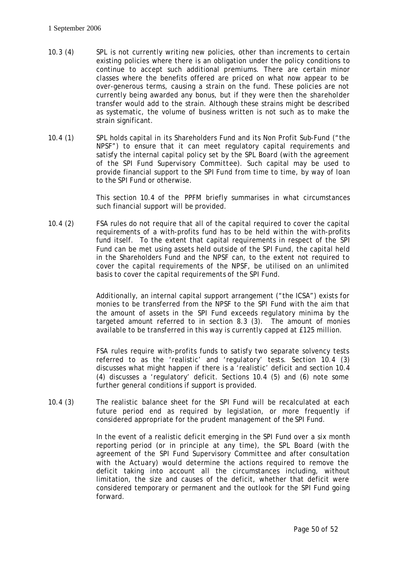- 10.3 (4) *SPL* is not currently writing new policies, other than increments to certain existing policies where there is an obligation under the policy conditions to continue to accept such additional *premiums*. There are certain minor classes where the benefits offered are priced on what now appear to be over-generous terms, causing a strain on the fund. These policies are not currently being awarded any bonus, but if they were then the *shareholder* transfer would add to the strain. Although these strains might be described as systematic, the volume of business written is not such as to make the strain significant.
- 10.4 (1) *SPL* holds capital in its Shareholders Fund and its Non Profit Sub-Fund ("the NPSF") to ensure that it can meet regulatory capital requirements and satisfy the internal capital policy set by the *SPL Board (with the agreement of the SPI Fund Supervisory Committee)*. Such capital may be used to provide financial support to the *SPI Fund* from time to time, by way of loan to the *SPI Fund* or otherwise.

This section 10.4 of the *PPFM* briefly summarises in what circumstances such financial support will be provided.

10.4 (2) FSA rules do not require that all of the capital required to cover the capital requirements of a with-profits fund has to be held within the with-profits fund itself. To the extent that capital requirements in respect of the *SPI Fund* can be met using assets held outside of the *SPI Fund*, the capital held in the Shareholders Fund and the NPSF can, to the extent not required to cover the capital requirements of the NPSF, be utilised on an unlimited basis to cover the capital requirements of the *SPI Fund*.

> Additionally, an internal capital support arrangement ("the ICSA") exists for monies to be transferred from the NPSF to the *SPI Fund* with the aim that the amount of assets in the *SPI Fund* exceeds regulatory minima by the targeted amount referred to in section 8.3 (3). The amount of monies available to be transferred in this way is currently capped at £125 million.

> *FSA* rules require with-profits funds to satisfy two separate solvency tests referred to as the 'realistic' and 'regulatory' tests. Section 10.4 (3) discusses what might happen if there is a 'realistic' deficit and section 10.4 (4) discusses a 'regulatory' deficit. Sections 10.4 (5) and (6) note some further general conditions if support is provided.

10.4 (3) The realistic balance sheet for the *SPI Fund* will be recalculated at each future period end as required by legislation, or more frequently if considered appropriate for the prudent management of the *SPI Fund*.

> In the event of a realistic deficit emerging in the *SPI Fund* over a six month reporting period (or in principle at any time), the *SPL Board* (with the agreement of the *SPI Fund Supervisory Committee* and after consultation with the *Actuary*) would determine the actions required to remove the deficit taking into account all the circumstances including, without limitation, the size and causes of the deficit, whether that deficit were considered temporary or permanent and the outlook for the *SPI Fund* going forward.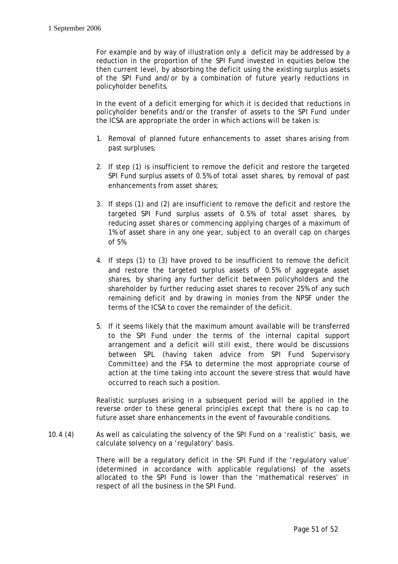For example and by way of illustration only a deficit may be addressed by a reduction in the proportion of the *SPI Fund* invested in equities below the then current level, by absorbing the deficit using the existing surplus assets of the *SPI Fund* and/or by a combination of future yearly reductions in policyholder benefits*.*

In the event of a deficit emerging for which it is decided that reductions in policyholder benefits and/or the transfer of assets to the *SPI Fund* under the ICSA are appropriate the order in which actions will be taken is:

- 1. Removal of planned future enhancements to *asset shares* arising from past surpluses;
- 2. If step (1) is insufficient to remove the deficit and restore the targeted *SPI Fund* surplus assets of 0.5% of total *asset shares*, by removal of past enhancements from *asset shares*;
- 3. If steps (1) and (2) are insufficient to remove the deficit and restore the targeted *SPI Fund* surplus assets of 0.5% of total *asset shares*, by reducing *asset shares* or commencing applying charges of a maximum of 1% of asset share in any one year, subject to an overall cap on charges of 5%.
- 4. If steps (1) to (3) have proved to be insufficient to remove the deficit and restore the targeted surplus assets of 0.5% of aggregate *asset shares*, by sharing any further deficit between policyholders and the shareholder by further reducing asset shares to recover 25% of any such remaining deficit and by drawing in monies from the NPSF under the terms of the ICSA to cover the remainder of the deficit.
- 5. If it seems likely that the maximum amount available will be transferred to the *SPI Fund* under the terms of the internal capital support arrangement and a deficit will still exist, there would be discussions between *SPL* (having taken advice from *SPI Fund Supervisory Committee*) and the *FSA* to determine the most appropriate course of action at the time taking into account the severe stress that would have occurred to reach such a position.

Realistic surpluses arising in a subsequent period will be applied in the reverse order to these general principles except that there is no cap to future asset share enhancements in the event of favourable conditions.

10.4 (4) As well as calculating the solvency of the *SPI Fund* on a 'realistic' basis, we calculate solvency on a 'regulatory' basis.

> There will be a regulatory deficit in the *SPI Fund* if the 'regulatory value' (determined in accordance with applicable regulations) of the assets allocated to the *SPI Fund* is lower than the 'mathematical reserves' in respect of all the business in the *SPI Fund*.